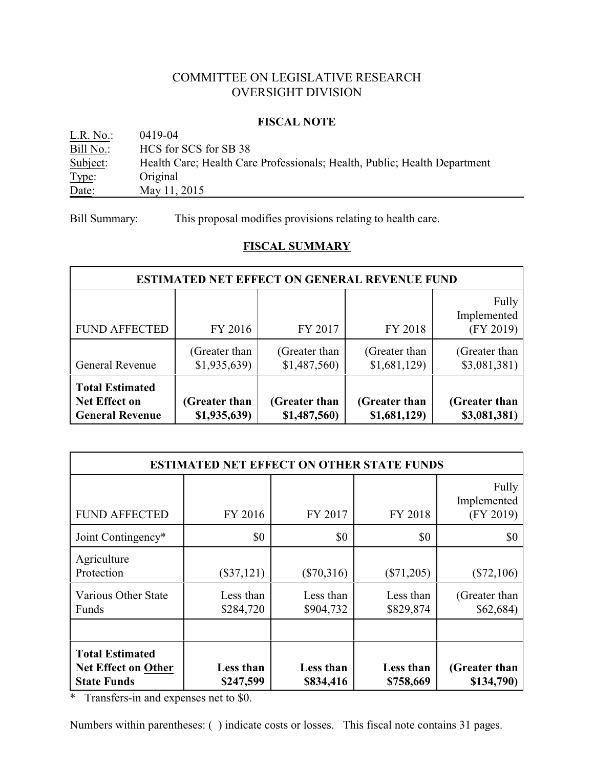# COMMITTEE ON LEGISLATIVE RESEARCH OVERSIGHT DIVISION

#### **FISCAL NOTE**

| L.R. No.: | 0419-04                                                                   |
|-----------|---------------------------------------------------------------------------|
| Bill No.: | HCS for SCS for SB 38                                                     |
| Subject:  | Health Care; Health Care Professionals; Health, Public; Health Department |
| Type:     | Original                                                                  |
| Date:     | May 11, 2015                                                              |

Bill Summary: This proposal modifies provisions relating to health care.

# **FISCAL SUMMARY**

| <b>ESTIMATED NET EFFECT ON GENERAL REVENUE FUND</b>                                                                                                                                                  |                              |                              |                              |                                   |  |
|------------------------------------------------------------------------------------------------------------------------------------------------------------------------------------------------------|------------------------------|------------------------------|------------------------------|-----------------------------------|--|
| <b>FUND AFFECTED</b>                                                                                                                                                                                 | FY 2016                      | FY 2017                      | FY 2018                      | Fully<br>Implemented<br>(FY 2019) |  |
| General Revenue                                                                                                                                                                                      | (Greater than<br>\$1,935,639 | (Greater than<br>\$1,487,560 | (Greater than<br>\$1,681,129 | (Greater than<br>\$3,081,381)     |  |
| <b>Total Estimated</b><br>Net Effect on<br>(Greater than<br>(Greater than<br>(Greater than<br>(Greater than<br>\$1,935,639)<br>\$1,487,560)<br>\$1,681,129<br>\$3,081,381)<br><b>General Revenue</b> |                              |                              |                              |                                   |  |

| <b>ESTIMATED NET EFFECT ON OTHER STATE FUNDS</b>                           |                                                                                                           |                        |                        |                                   |  |  |  |
|----------------------------------------------------------------------------|-----------------------------------------------------------------------------------------------------------|------------------------|------------------------|-----------------------------------|--|--|--|
| <b>FUND AFFECTED</b>                                                       | FY 2016                                                                                                   | FY 2017                | FY 2018                | Fully<br>Implemented<br>(FY 2019) |  |  |  |
| Joint Contingency*                                                         | \$0                                                                                                       | \$0                    | \$0                    | \$0                               |  |  |  |
| Agriculture<br>Protection                                                  | $(\$37,121)$                                                                                              | $(\$70,316)$           | $(\$71,205)$           | $(\$72,106)$                      |  |  |  |
| Various Other State<br>Funds                                               | Less than<br>\$284,720                                                                                    | Less than<br>\$904,732 | Less than<br>\$829,874 | (Greater than<br>\$62,684)        |  |  |  |
|                                                                            |                                                                                                           |                        |                        |                                   |  |  |  |
| <b>Total Estimated</b><br><b>Net Effect on Other</b><br><b>State Funds</b> | Less than<br>Less than<br>Less than<br>(Greater than<br>\$247,599<br>\$834,416<br>\$758,669<br>\$134,790) |                        |                        |                                   |  |  |  |

\* Transfers-in and expenses net to \$0.

Numbers within parentheses: ( ) indicate costs or losses. This fiscal note contains 31 pages.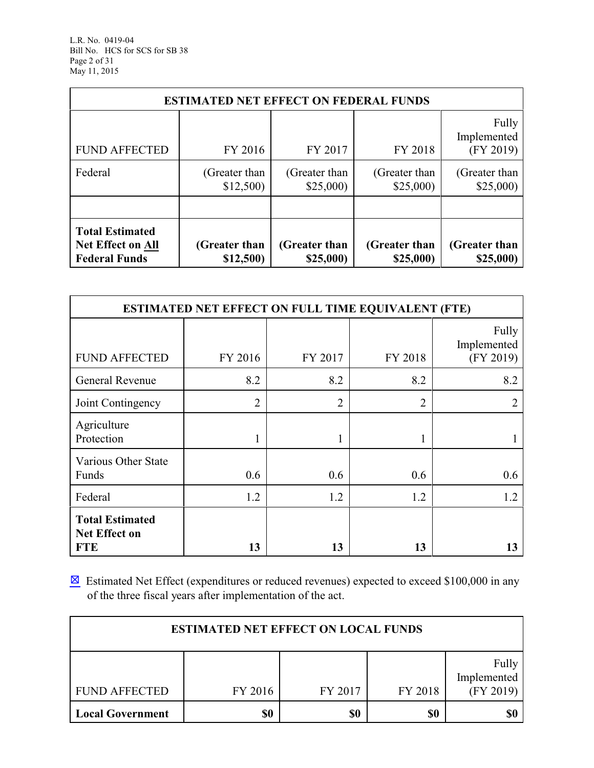| <b>ESTIMATED NET EFFECT ON FEDERAL FUNDS</b>                                                                                                                                                       |                           |                           |                           |                                   |  |  |
|----------------------------------------------------------------------------------------------------------------------------------------------------------------------------------------------------|---------------------------|---------------------------|---------------------------|-----------------------------------|--|--|
| <b>FUND AFFECTED</b>                                                                                                                                                                               | FY 2016                   | FY 2017                   | FY 2018                   | Fully<br>Implemented<br>(FY 2019) |  |  |
| Federal                                                                                                                                                                                            | (Greater than<br>\$12,500 | (Greater than<br>\$25,000 | (Greater than<br>\$25,000 | (Greater than<br>\$25,000         |  |  |
|                                                                                                                                                                                                    |                           |                           |                           |                                   |  |  |
| <b>Total Estimated</b><br><b>Net Effect on All</b><br>(Greater than<br>(Greater than<br>(Greater than<br>(Greater than<br><b>Federal Funds</b><br>\$12,500)<br>\$25,000)<br>\$25,000)<br>\$25,000) |                           |                           |                           |                                   |  |  |

| <b>ESTIMATED NET EFFECT ON FULL TIME EQUIVALENT (FTE)</b> |                |                |                |                                   |  |
|-----------------------------------------------------------|----------------|----------------|----------------|-----------------------------------|--|
| <b>FUND AFFECTED</b>                                      | FY 2016        | FY 2017        | FY 2018        | Fully<br>Implemented<br>(FY 2019) |  |
| General Revenue                                           | 8.2            | 8.2            | 8.2            | 8.2                               |  |
| Joint Contingency                                         | $\overline{2}$ | $\overline{2}$ | $\overline{2}$ | 2                                 |  |
| Agriculture<br>Protection                                 |                | 1              |                |                                   |  |
| Various Other State<br>Funds                              | 0.6            | 0.6            | 0.6            | 0.6                               |  |
| Federal                                                   | 1.2            | 1.2            | 1.2            | 1.2                               |  |
| <b>Total Estimated</b><br>Net Effect on<br><b>FTE</b>     | 13             | 13             | 13             | 13                                |  |

 $\boxtimes$  Estimated Net Effect (expenditures or reduced revenues) expected to exceed \$100,000 in any of the three fiscal years after implementation of the act.

| <b>ESTIMATED NET EFFECT ON LOCAL FUNDS</b> |         |         |         |                                   |  |  |
|--------------------------------------------|---------|---------|---------|-----------------------------------|--|--|
| <b>FUND AFFECTED</b>                       | FY 2016 | FY 2017 | FY 2018 | Fully<br>Implemented<br>(FY 2019) |  |  |
| <b>Local Government</b>                    | \$0     | \$0     | \$0     | \$0                               |  |  |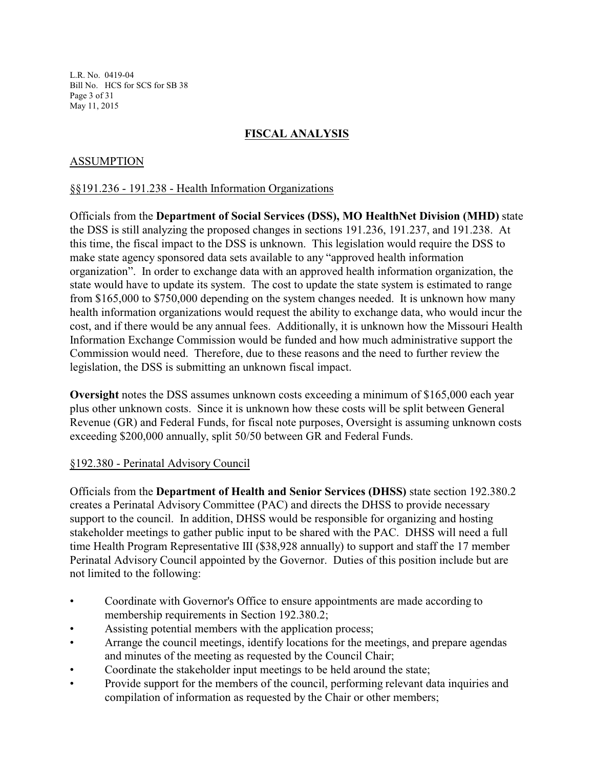L.R. No. 0419-04 Bill No. HCS for SCS for SB 38 Page 3 of 31 May 11, 2015

# **FISCAL ANALYSIS**

## ASSUMPTION

#### §§191.236 - 191.238 - Health Information Organizations

Officials from the **Department of Social Services (DSS), MO HealthNet Division (MHD)** state the DSS is still analyzing the proposed changes in sections 191.236, 191.237, and 191.238. At this time, the fiscal impact to the DSS is unknown. This legislation would require the DSS to make state agency sponsored data sets available to any "approved health information organization". In order to exchange data with an approved health information organization, the state would have to update its system. The cost to update the state system is estimated to range from \$165,000 to \$750,000 depending on the system changes needed. It is unknown how many health information organizations would request the ability to exchange data, who would incur the cost, and if there would be any annual fees. Additionally, it is unknown how the Missouri Health Information Exchange Commission would be funded and how much administrative support the Commission would need. Therefore, due to these reasons and the need to further review the legislation, the DSS is submitting an unknown fiscal impact.

**Oversight** notes the DSS assumes unknown costs exceeding a minimum of \$165,000 each year plus other unknown costs. Since it is unknown how these costs will be split between General Revenue (GR) and Federal Funds, for fiscal note purposes, Oversight is assuming unknown costs exceeding \$200,000 annually, split 50/50 between GR and Federal Funds.

#### §192.380 - Perinatal Advisory Council

Officials from the **Department of Health and Senior Services (DHSS)** state section 192.380.2 creates a Perinatal Advisory Committee (PAC) and directs the DHSS to provide necessary support to the council. In addition, DHSS would be responsible for organizing and hosting stakeholder meetings to gather public input to be shared with the PAC. DHSS will need a full time Health Program Representative III (\$38,928 annually) to support and staff the 17 member Perinatal Advisory Council appointed by the Governor. Duties of this position include but are not limited to the following:

- Coordinate with Governor's Office to ensure appointments are made according to membership requirements in Section 192.380.2;
- Assisting potential members with the application process;
- Arrange the council meetings, identify locations for the meetings, and prepare agendas and minutes of the meeting as requested by the Council Chair;
- Coordinate the stakeholder input meetings to be held around the state;
- Provide support for the members of the council, performing relevant data inquiries and compilation of information as requested by the Chair or other members;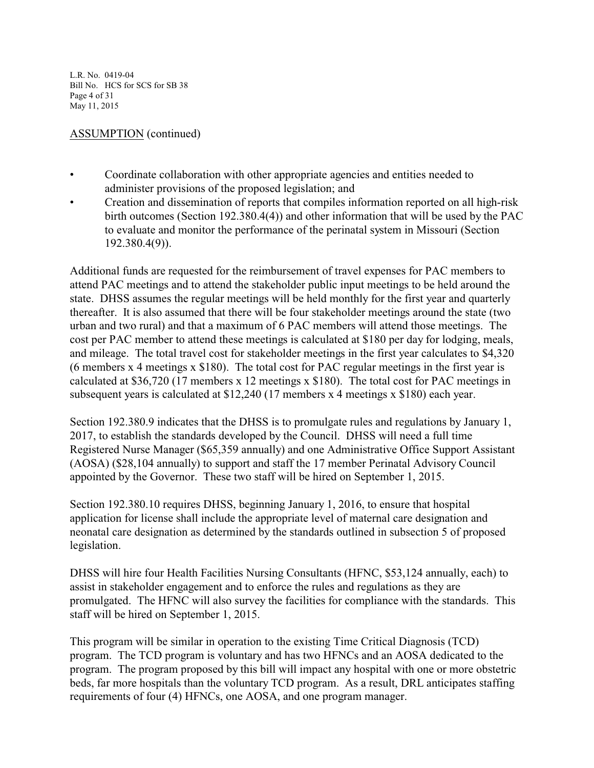L.R. No. 0419-04 Bill No. HCS for SCS for SB 38 Page 4 of 31 May 11, 2015

## ASSUMPTION (continued)

- Coordinate collaboration with other appropriate agencies and entities needed to administer provisions of the proposed legislation; and
- Creation and dissemination of reports that compiles information reported on all high-risk birth outcomes (Section 192.380.4(4)) and other information that will be used by the PAC to evaluate and monitor the performance of the perinatal system in Missouri (Section 192.380.4(9)).

Additional funds are requested for the reimbursement of travel expenses for PAC members to attend PAC meetings and to attend the stakeholder public input meetings to be held around the state. DHSS assumes the regular meetings will be held monthly for the first year and quarterly thereafter. It is also assumed that there will be four stakeholder meetings around the state (two urban and two rural) and that a maximum of 6 PAC members will attend those meetings. The cost per PAC member to attend these meetings is calculated at \$180 per day for lodging, meals, and mileage. The total travel cost for stakeholder meetings in the first year calculates to \$4,320 (6 members x 4 meetings x \$180). The total cost for PAC regular meetings in the first year is calculated at \$36,720 (17 members x 12 meetings x \$180). The total cost for PAC meetings in subsequent years is calculated at \$12,240 (17 members x 4 meetings x \$180) each year.

Section 192.380.9 indicates that the DHSS is to promulgate rules and regulations by January 1, 2017, to establish the standards developed by the Council. DHSS will need a full time Registered Nurse Manager (\$65,359 annually) and one Administrative Office Support Assistant (AOSA) (\$28,104 annually) to support and staff the 17 member Perinatal Advisory Council appointed by the Governor. These two staff will be hired on September 1, 2015.

Section 192.380.10 requires DHSS, beginning January 1, 2016, to ensure that hospital application for license shall include the appropriate level of maternal care designation and neonatal care designation as determined by the standards outlined in subsection 5 of proposed legislation.

DHSS will hire four Health Facilities Nursing Consultants (HFNC, \$53,124 annually, each) to assist in stakeholder engagement and to enforce the rules and regulations as they are promulgated. The HFNC will also survey the facilities for compliance with the standards. This staff will be hired on September 1, 2015.

This program will be similar in operation to the existing Time Critical Diagnosis (TCD) program. The TCD program is voluntary and has two HFNCs and an AOSA dedicated to the program. The program proposed by this bill will impact any hospital with one or more obstetric beds, far more hospitals than the voluntary TCD program. As a result, DRL anticipates staffing requirements of four (4) HFNCs, one AOSA, and one program manager.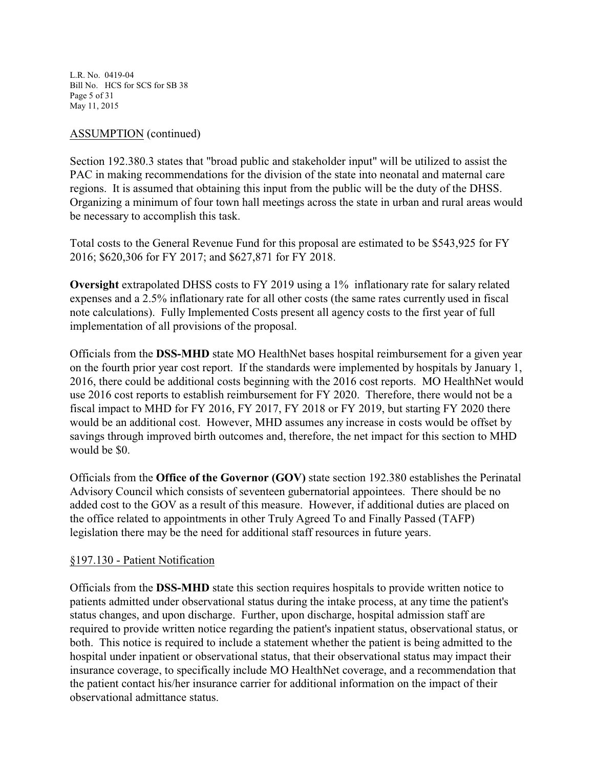L.R. No. 0419-04 Bill No. HCS for SCS for SB 38 Page 5 of 31 May 11, 2015

## ASSUMPTION (continued)

Section 192.380.3 states that "broad public and stakeholder input" will be utilized to assist the PAC in making recommendations for the division of the state into neonatal and maternal care regions. It is assumed that obtaining this input from the public will be the duty of the DHSS. Organizing a minimum of four town hall meetings across the state in urban and rural areas would be necessary to accomplish this task.

Total costs to the General Revenue Fund for this proposal are estimated to be \$543,925 for FY 2016; \$620,306 for FY 2017; and \$627,871 for FY 2018.

**Oversight** extrapolated DHSS costs to FY 2019 using a 1% inflationary rate for salary related expenses and a 2.5% inflationary rate for all other costs (the same rates currently used in fiscal note calculations). Fully Implemented Costs present all agency costs to the first year of full implementation of all provisions of the proposal.

Officials from the **DSS-MHD** state MO HealthNet bases hospital reimbursement for a given year on the fourth prior year cost report. If the standards were implemented by hospitals by January 1, 2016, there could be additional costs beginning with the 2016 cost reports. MO HealthNet would use 2016 cost reports to establish reimbursement for FY 2020. Therefore, there would not be a fiscal impact to MHD for FY 2016, FY 2017, FY 2018 or FY 2019, but starting FY 2020 there would be an additional cost. However, MHD assumes any increase in costs would be offset by savings through improved birth outcomes and, therefore, the net impact for this section to MHD would be \$0.

Officials from the **Office of the Governor (GOV)** state section 192.380 establishes the Perinatal Advisory Council which consists of seventeen gubernatorial appointees. There should be no added cost to the GOV as a result of this measure. However, if additional duties are placed on the office related to appointments in other Truly Agreed To and Finally Passed (TAFP) legislation there may be the need for additional staff resources in future years.

# §197.130 - Patient Notification

Officials from the **DSS-MHD** state this section requires hospitals to provide written notice to patients admitted under observational status during the intake process, at any time the patient's status changes, and upon discharge. Further, upon discharge, hospital admission staff are required to provide written notice regarding the patient's inpatient status, observational status, or both. This notice is required to include a statement whether the patient is being admitted to the hospital under inpatient or observational status, that their observational status may impact their insurance coverage, to specifically include MO HealthNet coverage, and a recommendation that the patient contact his/her insurance carrier for additional information on the impact of their observational admittance status.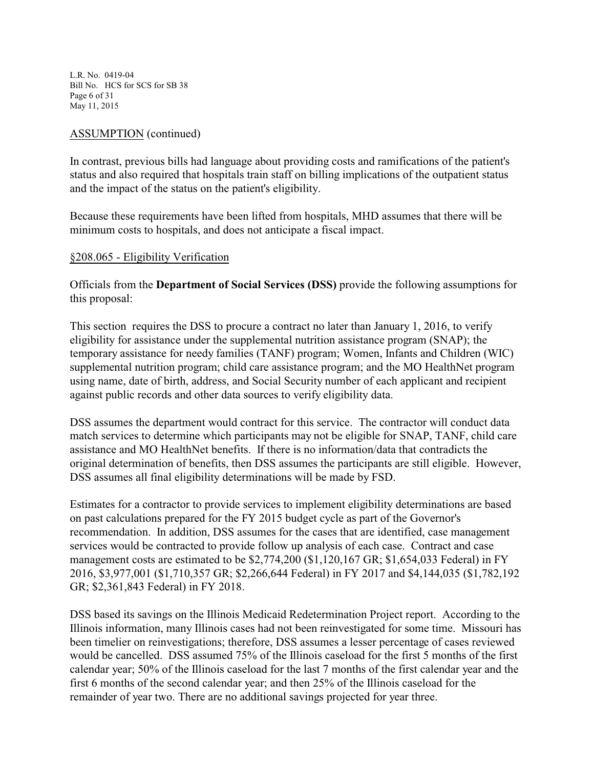L.R. No. 0419-04 Bill No. HCS for SCS for SB 38 Page 6 of 31 May 11, 2015

### ASSUMPTION (continued)

In contrast, previous bills had language about providing costs and ramifications of the patient's status and also required that hospitals train staff on billing implications of the outpatient status and the impact of the status on the patient's eligibility.

Because these requirements have been lifted from hospitals, MHD assumes that there will be minimum costs to hospitals, and does not anticipate a fiscal impact.

#### §208.065 - Eligibility Verification

Officials from the **Department of Social Services (DSS)** provide the following assumptions for this proposal:

This section requires the DSS to procure a contract no later than January 1, 2016, to verify eligibility for assistance under the supplemental nutrition assistance program (SNAP); the temporary assistance for needy families (TANF) program; Women, Infants and Children (WIC) supplemental nutrition program; child care assistance program; and the MO HealthNet program using name, date of birth, address, and Social Security number of each applicant and recipient against public records and other data sources to verify eligibility data.

DSS assumes the department would contract for this service. The contractor will conduct data match services to determine which participants may not be eligible for SNAP, TANF, child care assistance and MO HealthNet benefits. If there is no information/data that contradicts the original determination of benefits, then DSS assumes the participants are still eligible. However, DSS assumes all final eligibility determinations will be made by FSD.

Estimates for a contractor to provide services to implement eligibility determinations are based on past calculations prepared for the FY 2015 budget cycle as part of the Governor's recommendation. In addition, DSS assumes for the cases that are identified, case management services would be contracted to provide follow up analysis of each case. Contract and case management costs are estimated to be \$2,774,200 (\$1,120,167 GR; \$1,654,033 Federal) in FY 2016, \$3,977,001 (\$1,710,357 GR; \$2,266,644 Federal) in FY 2017 and \$4,144,035 (\$1,782,192 GR; \$2,361,843 Federal) in FY 2018.

DSS based its savings on the Illinois Medicaid Redetermination Project report. According to the Illinois information, many Illinois cases had not been reinvestigated for some time. Missouri has been timelier on reinvestigations; therefore, DSS assumes a lesser percentage of cases reviewed would be cancelled. DSS assumed 75% of the Illinois caseload for the first 5 months of the first calendar year; 50% of the Illinois caseload for the last 7 months of the first calendar year and the first 6 months of the second calendar year; and then 25% of the Illinois caseload for the remainder of year two. There are no additional savings projected for year three.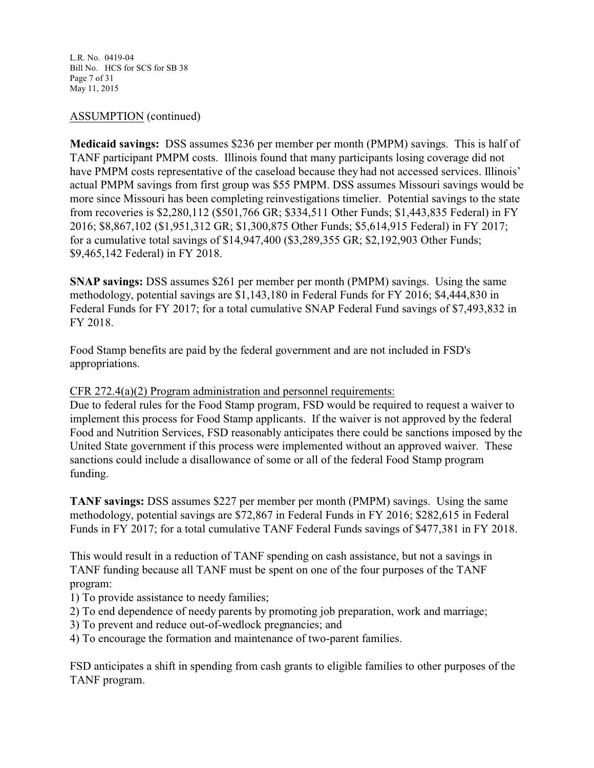L.R. No. 0419-04 Bill No. HCS for SCS for SB 38 Page 7 of 31 May 11, 2015

## ASSUMPTION (continued)

**Medicaid savings:** DSS assumes \$236 per member per month (PMPM) savings. This is half of TANF participant PMPM costs. Illinois found that many participants losing coverage did not have PMPM costs representative of the caseload because they had not accessed services. Illinois' actual PMPM savings from first group was \$55 PMPM. DSS assumes Missouri savings would be more since Missouri has been completing reinvestigations timelier. Potential savings to the state from recoveries is \$2,280,112 (\$501,766 GR; \$334,511 Other Funds; \$1,443,835 Federal) in FY 2016; \$8,867,102 (\$1,951,312 GR; \$1,300,875 Other Funds; \$5,614,915 Federal) in FY 2017; for a cumulative total savings of \$14,947,400 (\$3,289,355 GR; \$2,192,903 Other Funds; \$9,465,142 Federal) in FY 2018.

**SNAP savings:** DSS assumes \$261 per member per month (PMPM) savings. Using the same methodology, potential savings are \$1,143,180 in Federal Funds for FY 2016; \$4,444,830 in Federal Funds for FY 2017; for a total cumulative SNAP Federal Fund savings of \$7,493,832 in FY 2018.

Food Stamp benefits are paid by the federal government and are not included in FSD's appropriations.

#### CFR 272.4(a)(2) Program administration and personnel requirements:

Due to federal rules for the Food Stamp program, FSD would be required to request a waiver to implement this process for Food Stamp applicants. If the waiver is not approved by the federal Food and Nutrition Services, FSD reasonably anticipates there could be sanctions imposed by the United State government if this process were implemented without an approved waiver. These sanctions could include a disallowance of some or all of the federal Food Stamp program funding.

**TANF savings:** DSS assumes \$227 per member per month (PMPM) savings. Using the same methodology, potential savings are \$72,867 in Federal Funds in FY 2016; \$282,615 in Federal Funds in FY 2017; for a total cumulative TANF Federal Funds savings of \$477,381 in FY 2018.

This would result in a reduction of TANF spending on cash assistance, but not a savings in TANF funding because all TANF must be spent on one of the four purposes of the TANF program:

- 1) To provide assistance to needy families;
- 2) To end dependence of needy parents by promoting job preparation, work and marriage;
- 3) To prevent and reduce out-of-wedlock pregnancies; and
- 4) To encourage the formation and maintenance of two-parent families.

FSD anticipates a shift in spending from cash grants to eligible families to other purposes of the TANF program.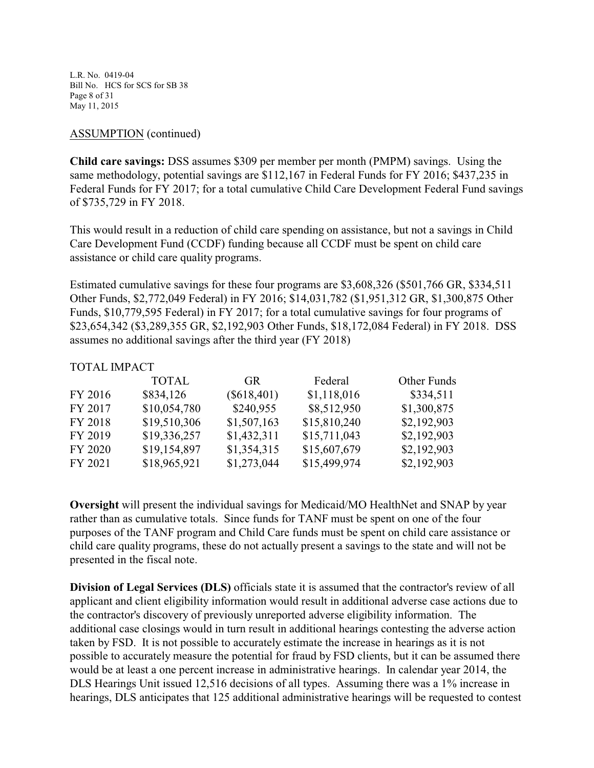L.R. No. 0419-04 Bill No. HCS for SCS for SB 38 Page 8 of 31 May 11, 2015

## ASSUMPTION (continued)

**Child care savings:** DSS assumes \$309 per member per month (PMPM) savings. Using the same methodology, potential savings are \$112,167 in Federal Funds for FY 2016; \$437,235 in Federal Funds for FY 2017; for a total cumulative Child Care Development Federal Fund savings of \$735,729 in FY 2018.

This would result in a reduction of child care spending on assistance, but not a savings in Child Care Development Fund (CCDF) funding because all CCDF must be spent on child care assistance or child care quality programs.

Estimated cumulative savings for these four programs are \$3,608,326 (\$501,766 GR, \$334,511 Other Funds, \$2,772,049 Federal) in FY 2016; \$14,031,782 (\$1,951,312 GR, \$1,300,875 Other Funds, \$10,779,595 Federal) in FY 2017; for a total cumulative savings for four programs of \$23,654,342 (\$3,289,355 GR, \$2,192,903 Other Funds, \$18,172,084 Federal) in FY 2018. DSS assumes no additional savings after the third year (FY 2018)

## TOTAL IMPACT

|         | <b>TOTAL</b> | GR.           | Federal      | Other Funds |
|---------|--------------|---------------|--------------|-------------|
| FY 2016 | \$834,126    | $(\$618,401)$ | \$1,118,016  | \$334,511   |
| FY 2017 | \$10,054,780 | \$240,955     | \$8,512,950  | \$1,300,875 |
| FY 2018 | \$19,510,306 | \$1,507,163   | \$15,810,240 | \$2,192,903 |
| FY 2019 | \$19,336,257 | \$1,432,311   | \$15,711,043 | \$2,192,903 |
| FY 2020 | \$19,154,897 | \$1,354,315   | \$15,607,679 | \$2,192,903 |
| FY 2021 | \$18,965,921 | \$1,273,044   | \$15,499,974 | \$2,192,903 |

**Oversight** will present the individual savings for Medicaid/MO HealthNet and SNAP by year rather than as cumulative totals. Since funds for TANF must be spent on one of the four purposes of the TANF program and Child Care funds must be spent on child care assistance or child care quality programs, these do not actually present a savings to the state and will not be presented in the fiscal note.

**Division of Legal Services (DLS)** officials state it is assumed that the contractor's review of all applicant and client eligibility information would result in additional adverse case actions due to the contractor's discovery of previously unreported adverse eligibility information. The additional case closings would in turn result in additional hearings contesting the adverse action taken by FSD. It is not possible to accurately estimate the increase in hearings as it is not possible to accurately measure the potential for fraud by FSD clients, but it can be assumed there would be at least a one percent increase in administrative hearings. In calendar year 2014, the DLS Hearings Unit issued 12,516 decisions of all types. Assuming there was a 1% increase in hearings, DLS anticipates that 125 additional administrative hearings will be requested to contest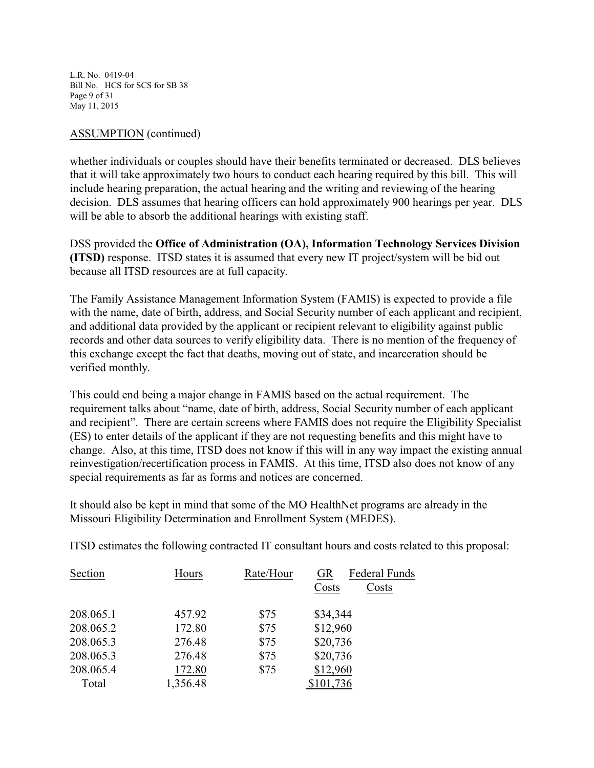L.R. No. 0419-04 Bill No. HCS for SCS for SB 38 Page 9 of 31 May 11, 2015

## ASSUMPTION (continued)

whether individuals or couples should have their benefits terminated or decreased. DLS believes that it will take approximately two hours to conduct each hearing required by this bill. This will include hearing preparation, the actual hearing and the writing and reviewing of the hearing decision. DLS assumes that hearing officers can hold approximately 900 hearings per year. DLS will be able to absorb the additional hearings with existing staff.

DSS provided the **Office of Administration (OA), Information Technology Services Division (ITSD)** response. ITSD states it is assumed that every new IT project/system will be bid out because all ITSD resources are at full capacity.

The Family Assistance Management Information System (FAMIS) is expected to provide a file with the name, date of birth, address, and Social Security number of each applicant and recipient, and additional data provided by the applicant or recipient relevant to eligibility against public records and other data sources to verify eligibility data. There is no mention of the frequency of this exchange except the fact that deaths, moving out of state, and incarceration should be verified monthly.

This could end being a major change in FAMIS based on the actual requirement. The requirement talks about "name, date of birth, address, Social Security number of each applicant and recipient". There are certain screens where FAMIS does not require the Eligibility Specialist (ES) to enter details of the applicant if they are not requesting benefits and this might have to change. Also, at this time, ITSD does not know if this will in any way impact the existing annual reinvestigation/recertification process in FAMIS. At this time, ITSD also does not know of any special requirements as far as forms and notices are concerned.

It should also be kept in mind that some of the MO HealthNet programs are already in the Missouri Eligibility Determination and Enrollment System (MEDES).

ITSD estimates the following contracted IT consultant hours and costs related to this proposal:

| Section   | Hours    | Rate/Hour | <b>Federal Funds</b><br><b>GR</b><br>Costs<br>Costs |  |
|-----------|----------|-----------|-----------------------------------------------------|--|
| 208.065.1 | 457.92   | \$75      | \$34,344                                            |  |
| 208.065.2 | 172.80   | \$75      | \$12,960                                            |  |
| 208.065.3 | 276.48   | \$75      | \$20,736                                            |  |
| 208.065.3 | 276.48   | \$75      | \$20,736                                            |  |
| 208.065.4 | 172.80   | \$75      | \$12,960                                            |  |
| Total     | 1,356.48 |           | \$101,736                                           |  |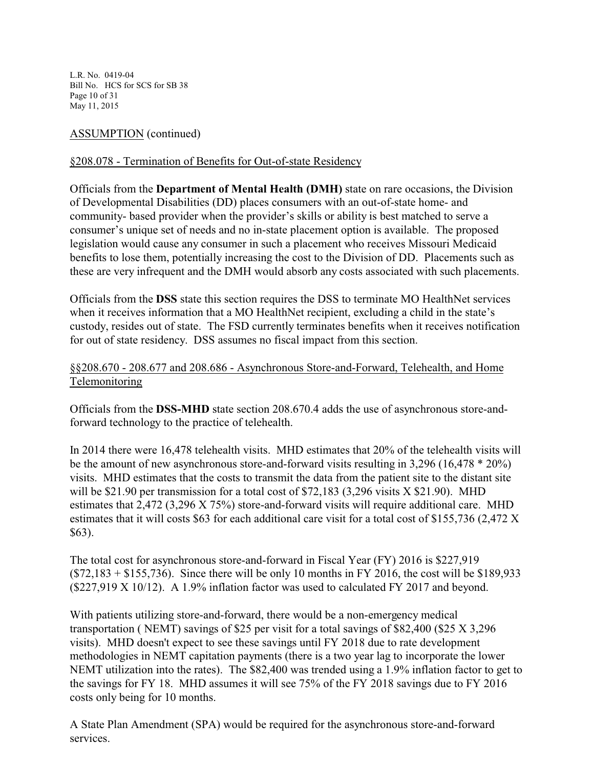L.R. No. 0419-04 Bill No. HCS for SCS for SB 38 Page 10 of 31 May 11, 2015

# ASSUMPTION (continued)

# §208.078 - Termination of Benefits for Out-of-state Residency

Officials from the **Department of Mental Health (DMH)** state on rare occasions, the Division of Developmental Disabilities (DD) places consumers with an out-of-state home- and community- based provider when the provider's skills or ability is best matched to serve a consumer's unique set of needs and no in-state placement option is available. The proposed legislation would cause any consumer in such a placement who receives Missouri Medicaid benefits to lose them, potentially increasing the cost to the Division of DD. Placements such as these are very infrequent and the DMH would absorb any costs associated with such placements.

Officials from the **DSS** state this section requires the DSS to terminate MO HealthNet services when it receives information that a MO HealthNet recipient, excluding a child in the state's custody, resides out of state. The FSD currently terminates benefits when it receives notification for out of state residency. DSS assumes no fiscal impact from this section.

# §§208.670 - 208.677 and 208.686 - Asynchronous Store-and-Forward, Telehealth, and Home Telemonitoring

Officials from the **DSS-MHD** state section 208.670.4 adds the use of asynchronous store-andforward technology to the practice of telehealth.

In 2014 there were 16,478 telehealth visits. MHD estimates that 20% of the telehealth visits will be the amount of new asynchronous store-and-forward visits resulting in 3,296 (16,478 \* 20%) visits. MHD estimates that the costs to transmit the data from the patient site to the distant site will be \$21.90 per transmission for a total cost of \$72,183 (3,296 visits X \$21.90). MHD estimates that 2,472 (3,296 X 75%) store-and-forward visits will require additional care. MHD estimates that it will costs \$63 for each additional care visit for a total cost of \$155,736 (2,472 X \$63).

The total cost for asynchronous store-and-forward in Fiscal Year (FY) 2016 is \$227,919  $($72,183 + $155,736)$ . Since there will be only 10 months in FY 2016, the cost will be \$189,933 (\$227,919 X 10/12). A 1.9% inflation factor was used to calculated FY 2017 and beyond.

With patients utilizing store-and-forward, there would be a non-emergency medical transportation ( NEMT) savings of \$25 per visit for a total savings of \$82,400 (\$25 X 3,296 visits). MHD doesn't expect to see these savings until FY 2018 due to rate development methodologies in NEMT capitation payments (there is a two year lag to incorporate the lower NEMT utilization into the rates). The \$82,400 was trended using a 1.9% inflation factor to get to the savings for FY 18. MHD assumes it will see 75% of the FY 2018 savings due to FY 2016 costs only being for 10 months.

A State Plan Amendment (SPA) would be required for the asynchronous store-and-forward services.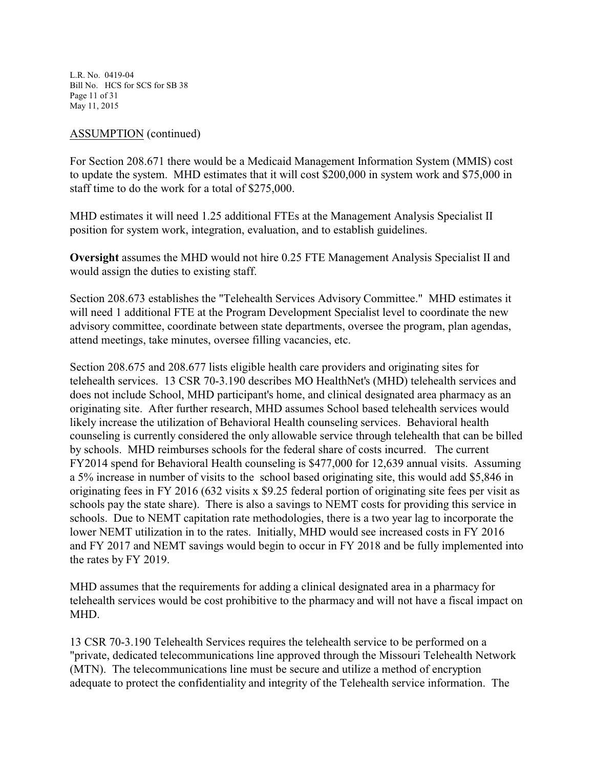L.R. No. 0419-04 Bill No. HCS for SCS for SB 38 Page 11 of 31 May 11, 2015

### ASSUMPTION (continued)

For Section 208.671 there would be a Medicaid Management Information System (MMIS) cost to update the system. MHD estimates that it will cost \$200,000 in system work and \$75,000 in staff time to do the work for a total of \$275,000.

MHD estimates it will need 1.25 additional FTEs at the Management Analysis Specialist II position for system work, integration, evaluation, and to establish guidelines.

**Oversight** assumes the MHD would not hire 0.25 FTE Management Analysis Specialist II and would assign the duties to existing staff.

Section 208.673 establishes the "Telehealth Services Advisory Committee." MHD estimates it will need 1 additional FTE at the Program Development Specialist level to coordinate the new advisory committee, coordinate between state departments, oversee the program, plan agendas, attend meetings, take minutes, oversee filling vacancies, etc.

Section 208.675 and 208.677 lists eligible health care providers and originating sites for telehealth services. 13 CSR 70-3.190 describes MO HealthNet's (MHD) telehealth services and does not include School, MHD participant's home, and clinical designated area pharmacy as an originating site. After further research, MHD assumes School based telehealth services would likely increase the utilization of Behavioral Health counseling services. Behavioral health counseling is currently considered the only allowable service through telehealth that can be billed by schools. MHD reimburses schools for the federal share of costs incurred. The current FY2014 spend for Behavioral Health counseling is \$477,000 for 12,639 annual visits. Assuming a 5% increase in number of visits to the school based originating site, this would add \$5,846 in originating fees in FY 2016 (632 visits x \$9.25 federal portion of originating site fees per visit as schools pay the state share). There is also a savings to NEMT costs for providing this service in schools. Due to NEMT capitation rate methodologies, there is a two year lag to incorporate the lower NEMT utilization in to the rates. Initially, MHD would see increased costs in FY 2016 and FY 2017 and NEMT savings would begin to occur in FY 2018 and be fully implemented into the rates by FY 2019.

MHD assumes that the requirements for adding a clinical designated area in a pharmacy for telehealth services would be cost prohibitive to the pharmacy and will not have a fiscal impact on MHD.

13 CSR 70-3.190 Telehealth Services requires the telehealth service to be performed on a "private, dedicated telecommunications line approved through the Missouri Telehealth Network (MTN). The telecommunications line must be secure and utilize a method of encryption adequate to protect the confidentiality and integrity of the Telehealth service information. The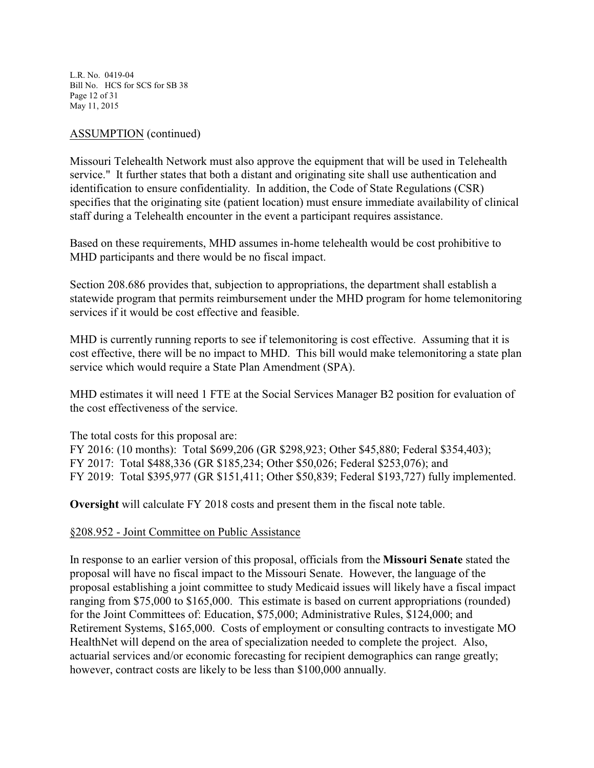L.R. No. 0419-04 Bill No. HCS for SCS for SB 38 Page 12 of 31 May 11, 2015

## ASSUMPTION (continued)

Missouri Telehealth Network must also approve the equipment that will be used in Telehealth service." It further states that both a distant and originating site shall use authentication and identification to ensure confidentiality. In addition, the Code of State Regulations (CSR) specifies that the originating site (patient location) must ensure immediate availability of clinical staff during a Telehealth encounter in the event a participant requires assistance.

Based on these requirements, MHD assumes in-home telehealth would be cost prohibitive to MHD participants and there would be no fiscal impact.

Section 208.686 provides that, subjection to appropriations, the department shall establish a statewide program that permits reimbursement under the MHD program for home telemonitoring services if it would be cost effective and feasible.

MHD is currently running reports to see if telemonitoring is cost effective. Assuming that it is cost effective, there will be no impact to MHD. This bill would make telemonitoring a state plan service which would require a State Plan Amendment (SPA).

MHD estimates it will need 1 FTE at the Social Services Manager B2 position for evaluation of the cost effectiveness of the service.

The total costs for this proposal are:

FY 2016: (10 months): Total \$699,206 (GR \$298,923; Other \$45,880; Federal \$354,403); FY 2017: Total \$488,336 (GR \$185,234; Other \$50,026; Federal \$253,076); and FY 2019: Total \$395,977 (GR \$151,411; Other \$50,839; Federal \$193,727) fully implemented.

**Oversight** will calculate FY 2018 costs and present them in the fiscal note table.

#### §208.952 - Joint Committee on Public Assistance

In response to an earlier version of this proposal, officials from the **Missouri Senate** stated the proposal will have no fiscal impact to the Missouri Senate. However, the language of the proposal establishing a joint committee to study Medicaid issues will likely have a fiscal impact ranging from \$75,000 to \$165,000. This estimate is based on current appropriations (rounded) for the Joint Committees of: Education, \$75,000; Administrative Rules, \$124,000; and Retirement Systems, \$165,000. Costs of employment or consulting contracts to investigate MO HealthNet will depend on the area of specialization needed to complete the project. Also, actuarial services and/or economic forecasting for recipient demographics can range greatly; however, contract costs are likely to be less than \$100,000 annually.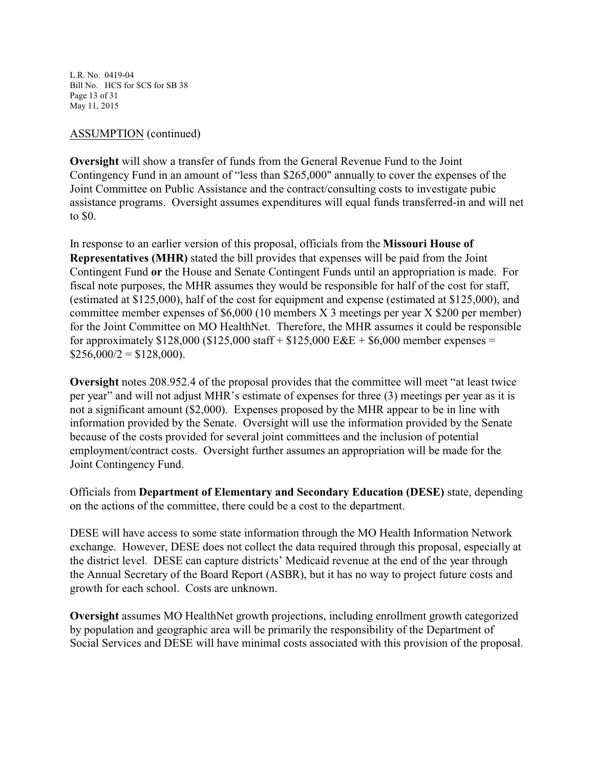L.R. No. 0419-04 Bill No. HCS for SCS for SB 38 Page 13 of 31 May 11, 2015

## ASSUMPTION (continued)

**Oversight** will show a transfer of funds from the General Revenue Fund to the Joint Contingency Fund in an amount of "less than \$265,000" annually to cover the expenses of the Joint Committee on Public Assistance and the contract/consulting costs to investigate pubic assistance programs. Oversight assumes expenditures will equal funds transferred-in and will net to \$0.

In response to an earlier version of this proposal, officials from the **Missouri House of Representatives (MHR)** stated the bill provides that expenses will be paid from the Joint Contingent Fund **or** the House and Senate Contingent Funds until an appropriation is made. For fiscal note purposes, the MHR assumes they would be responsible for half of the cost for staff, (estimated at \$125,000), half of the cost for equipment and expense (estimated at \$125,000), and committee member expenses of \$6,000 (10 members X 3 meetings per year X \$200 per member) for the Joint Committee on MO HealthNet. Therefore, the MHR assumes it could be responsible for approximately  $$128,000$  ( $$125,000$  staff +  $$125,000$  E&E +  $$6,000$  member expenses =  $$256,000/2 = $128,000$ .

**Oversight** notes 208.952.4 of the proposal provides that the committee will meet "at least twice per year" and will not adjust MHR's estimate of expenses for three (3) meetings per year as it is not a significant amount (\$2,000). Expenses proposed by the MHR appear to be in line with information provided by the Senate. Oversight will use the information provided by the Senate because of the costs provided for several joint committees and the inclusion of potential employment/contract costs. Oversight further assumes an appropriation will be made for the Joint Contingency Fund.

Officials from **Department of Elementary and Secondary Education (DESE)** state, depending on the actions of the committee, there could be a cost to the department.

DESE will have access to some state information through the MO Health Information Network exchange. However, DESE does not collect the data required through this proposal, especially at the district level. DESE can capture districts' Medicaid revenue at the end of the year through the Annual Secretary of the Board Report (ASBR), but it has no way to project future costs and growth for each school. Costs are unknown.

**Oversight** assumes MO HealthNet growth projections, including enrollment growth categorized by population and geographic area will be primarily the responsibility of the Department of Social Services and DESE will have minimal costs associated with this provision of the proposal.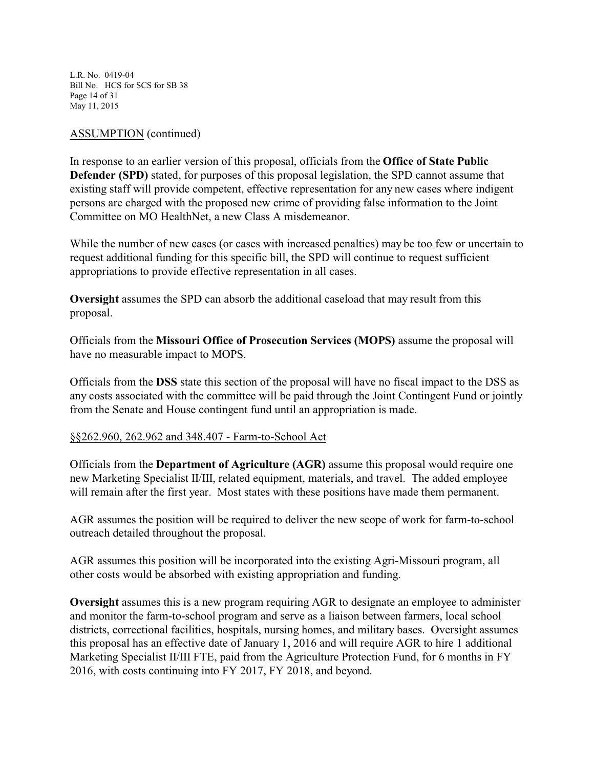L.R. No. 0419-04 Bill No. HCS for SCS for SB 38 Page 14 of 31 May 11, 2015

## ASSUMPTION (continued)

In response to an earlier version of this proposal, officials from the **Office of State Public Defender (SPD)** stated, for purposes of this proposal legislation, the SPD cannot assume that existing staff will provide competent, effective representation for any new cases where indigent persons are charged with the proposed new crime of providing false information to the Joint Committee on MO HealthNet, a new Class A misdemeanor.

While the number of new cases (or cases with increased penalties) may be too few or uncertain to request additional funding for this specific bill, the SPD will continue to request sufficient appropriations to provide effective representation in all cases.

**Oversight** assumes the SPD can absorb the additional caseload that may result from this proposal.

Officials from the **Missouri Office of Prosecution Services (MOPS)** assume the proposal will have no measurable impact to MOPS.

Officials from the **DSS** state this section of the proposal will have no fiscal impact to the DSS as any costs associated with the committee will be paid through the Joint Contingent Fund or jointly from the Senate and House contingent fund until an appropriation is made.

#### §§262.960, 262.962 and 348.407 - Farm-to-School Act

Officials from the **Department of Agriculture (AGR)** assume this proposal would require one new Marketing Specialist II/III, related equipment, materials, and travel. The added employee will remain after the first year. Most states with these positions have made them permanent.

AGR assumes the position will be required to deliver the new scope of work for farm-to-school outreach detailed throughout the proposal.

AGR assumes this position will be incorporated into the existing Agri-Missouri program, all other costs would be absorbed with existing appropriation and funding.

**Oversight** assumes this is a new program requiring AGR to designate an employee to administer and monitor the farm-to-school program and serve as a liaison between farmers, local school districts, correctional facilities, hospitals, nursing homes, and military bases. Oversight assumes this proposal has an effective date of January 1, 2016 and will require AGR to hire 1 additional Marketing Specialist II/III FTE, paid from the Agriculture Protection Fund, for 6 months in FY 2016, with costs continuing into FY 2017, FY 2018, and beyond.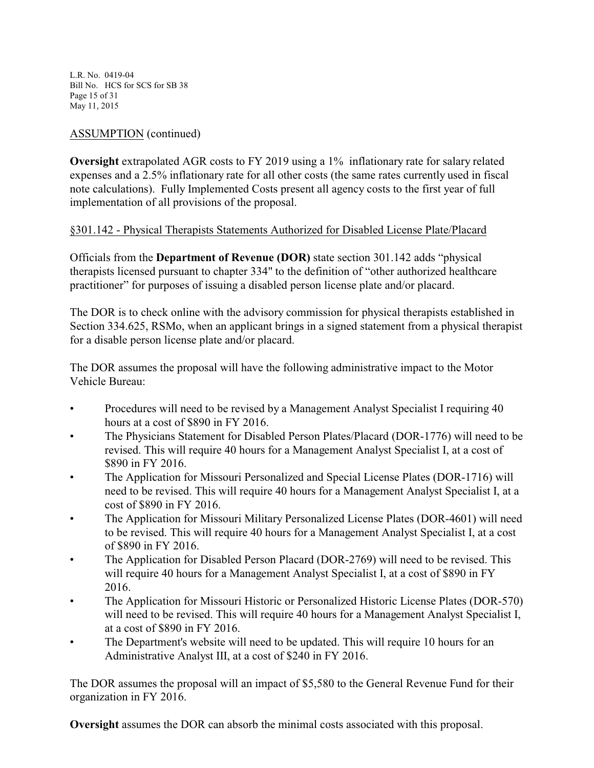L.R. No. 0419-04 Bill No. HCS for SCS for SB 38 Page 15 of 31 May 11, 2015

# ASSUMPTION (continued)

**Oversight** extrapolated AGR costs to FY 2019 using a 1% inflationary rate for salary related expenses and a 2.5% inflationary rate for all other costs (the same rates currently used in fiscal note calculations). Fully Implemented Costs present all agency costs to the first year of full implementation of all provisions of the proposal.

# §301.142 - Physical Therapists Statements Authorized for Disabled License Plate/Placard

Officials from the **Department of Revenue (DOR)** state section 301.142 adds "physical therapists licensed pursuant to chapter 334" to the definition of "other authorized healthcare practitioner" for purposes of issuing a disabled person license plate and/or placard.

The DOR is to check online with the advisory commission for physical therapists established in Section 334.625, RSMo, when an applicant brings in a signed statement from a physical therapist for a disable person license plate and/or placard.

The DOR assumes the proposal will have the following administrative impact to the Motor Vehicle Bureau:

- Procedures will need to be revised by a Management Analyst Specialist I requiring 40 hours at a cost of \$890 in FY 2016.
- The Physicians Statement for Disabled Person Plates/Placard (DOR-1776) will need to be revised. This will require 40 hours for a Management Analyst Specialist I, at a cost of \$890 in FY 2016.
- The Application for Missouri Personalized and Special License Plates (DOR-1716) will need to be revised. This will require 40 hours for a Management Analyst Specialist I, at a cost of \$890 in FY 2016.
- The Application for Missouri Military Personalized License Plates (DOR-4601) will need to be revised. This will require 40 hours for a Management Analyst Specialist I, at a cost of \$890 in FY 2016.
- The Application for Disabled Person Placard (DOR-2769) will need to be revised. This will require 40 hours for a Management Analyst Specialist I, at a cost of \$890 in FY 2016.
- The Application for Missouri Historic or Personalized Historic License Plates (DOR-570) will need to be revised. This will require 40 hours for a Management Analyst Specialist I, at a cost of \$890 in FY 2016.
- The Department's website will need to be updated. This will require 10 hours for an Administrative Analyst III, at a cost of \$240 in FY 2016.

The DOR assumes the proposal will an impact of \$5,580 to the General Revenue Fund for their organization in FY 2016.

**Oversight** assumes the DOR can absorb the minimal costs associated with this proposal.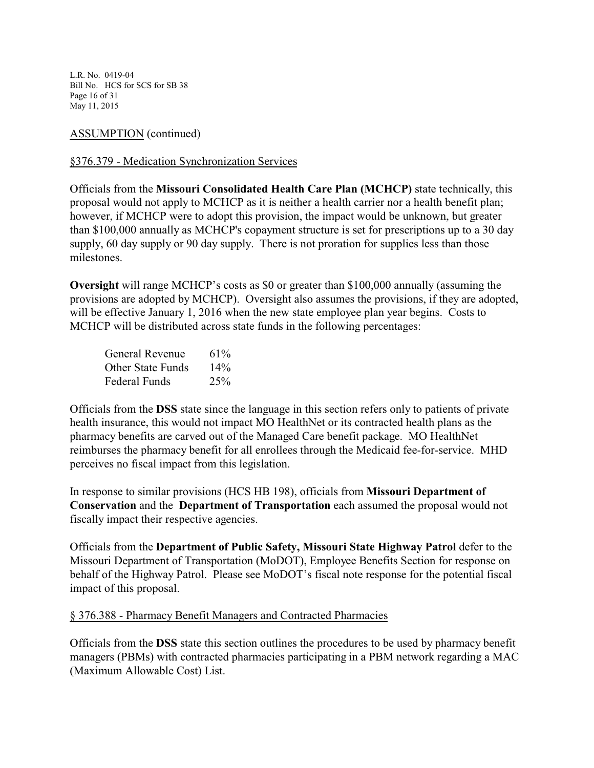L.R. No. 0419-04 Bill No. HCS for SCS for SB 38 Page 16 of 31 May 11, 2015

## ASSUMPTION (continued)

## §376.379 - Medication Synchronization Services

Officials from the **Missouri Consolidated Health Care Plan (MCHCP)** state technically, this proposal would not apply to MCHCP as it is neither a health carrier nor a health benefit plan; however, if MCHCP were to adopt this provision, the impact would be unknown, but greater than \$100,000 annually as MCHCP's copayment structure is set for prescriptions up to a 30 day supply, 60 day supply or 90 day supply. There is not proration for supplies less than those milestones.

**Oversight** will range MCHCP's costs as \$0 or greater than \$100,000 annually (assuming the provisions are adopted by MCHCP). Oversight also assumes the provisions, if they are adopted, will be effective January 1, 2016 when the new state employee plan year begins. Costs to MCHCP will be distributed across state funds in the following percentages:

| General Revenue          | 61%    |
|--------------------------|--------|
| <b>Other State Funds</b> | $14\%$ |
| Federal Funds            | 25%    |

Officials from the **DSS** state since the language in this section refers only to patients of private health insurance, this would not impact MO HealthNet or its contracted health plans as the pharmacy benefits are carved out of the Managed Care benefit package. MO HealthNet reimburses the pharmacy benefit for all enrollees through the Medicaid fee-for-service. MHD perceives no fiscal impact from this legislation.

In response to similar provisions (HCS HB 198), officials from **Missouri Department of Conservation** and the **Department of Transportation** each assumed the proposal would not fiscally impact their respective agencies.

Officials from the **Department of Public Safety, Missouri State Highway Patrol** defer to the Missouri Department of Transportation (MoDOT), Employee Benefits Section for response on behalf of the Highway Patrol. Please see MoDOT's fiscal note response for the potential fiscal impact of this proposal.

#### § 376.388 - Pharmacy Benefit Managers and Contracted Pharmacies

Officials from the **DSS** state this section outlines the procedures to be used by pharmacy benefit managers (PBMs) with contracted pharmacies participating in a PBM network regarding a MAC (Maximum Allowable Cost) List.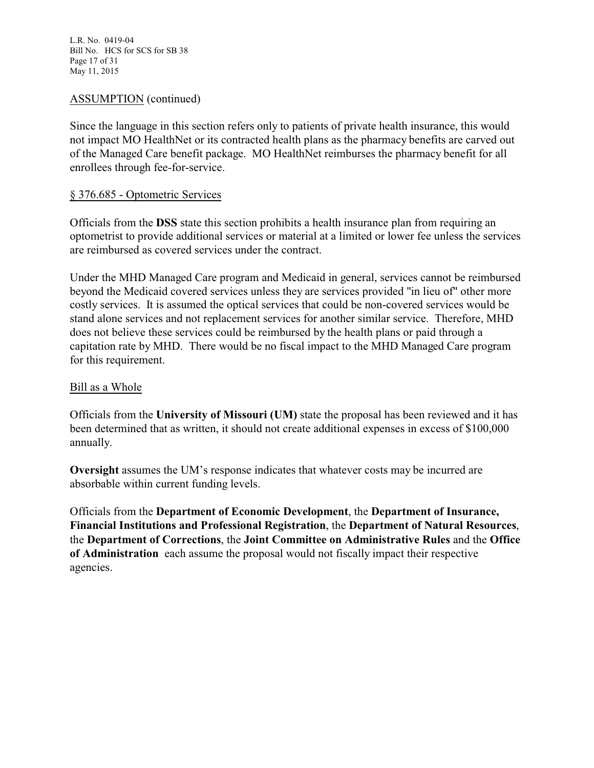L.R. No. 0419-04 Bill No. HCS for SCS for SB 38 Page 17 of 31 May 11, 2015

## ASSUMPTION (continued)

Since the language in this section refers only to patients of private health insurance, this would not impact MO HealthNet or its contracted health plans as the pharmacy benefits are carved out of the Managed Care benefit package. MO HealthNet reimburses the pharmacy benefit for all enrollees through fee-for-service.

### § 376.685 - Optometric Services

Officials from the **DSS** state this section prohibits a health insurance plan from requiring an optometrist to provide additional services or material at a limited or lower fee unless the services are reimbursed as covered services under the contract.

Under the MHD Managed Care program and Medicaid in general, services cannot be reimbursed beyond the Medicaid covered services unless they are services provided "in lieu of" other more costly services. It is assumed the optical services that could be non-covered services would be stand alone services and not replacement services for another similar service. Therefore, MHD does not believe these services could be reimbursed by the health plans or paid through a capitation rate by MHD. There would be no fiscal impact to the MHD Managed Care program for this requirement.

#### Bill as a Whole

Officials from the **University of Missouri (UM)** state the proposal has been reviewed and it has been determined that as written, it should not create additional expenses in excess of \$100,000 annually.

**Oversight** assumes the UM's response indicates that whatever costs may be incurred are absorbable within current funding levels.

Officials from the **Department of Economic Development**, the **Department of Insurance, Financial Institutions and Professional Registration**, the **Department of Natural Resources**, the **Department of Corrections**, the **Joint Committee on Administrative Rules** and the **Office of Administration** each assume the proposal would not fiscally impact their respective agencies.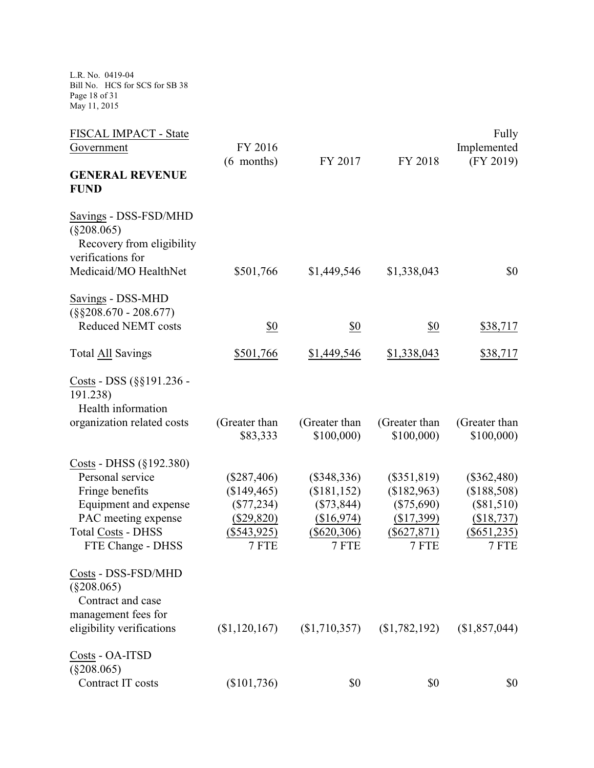L.R. No. 0419-04 Bill No. HCS for SCS for SB 38 Page 18 of 31 May 11, 2015

| FISCAL IMPACT - State<br>Government                                                                                                                              | FY 2016<br>$(6$ months)                                                              | FY 2017                                                                              | FY 2018                                                                              | Fully<br>Implemented<br>(FY 2019)                                                    |
|------------------------------------------------------------------------------------------------------------------------------------------------------------------|--------------------------------------------------------------------------------------|--------------------------------------------------------------------------------------|--------------------------------------------------------------------------------------|--------------------------------------------------------------------------------------|
| <b>GENERAL REVENUE</b><br><b>FUND</b>                                                                                                                            |                                                                                      |                                                                                      |                                                                                      |                                                                                      |
| Savings - DSS-FSD/MHD<br>$(\$208.065)$<br>Recovery from eligibility<br>verifications for                                                                         |                                                                                      |                                                                                      |                                                                                      |                                                                                      |
| Medicaid/MO HealthNet                                                                                                                                            | \$501,766                                                                            | \$1,449,546                                                                          | \$1,338,043                                                                          | \$0                                                                                  |
| Savings - DSS-MHD<br>$(\$§208.670 - 208.677)$                                                                                                                    |                                                                                      |                                                                                      |                                                                                      |                                                                                      |
| <b>Reduced NEMT costs</b>                                                                                                                                        | \$0                                                                                  | \$0                                                                                  | \$0                                                                                  | \$38,717                                                                             |
| <b>Total All Savings</b>                                                                                                                                         | \$501,766                                                                            | \$1,449,546                                                                          | \$1,338,043                                                                          | \$38,717                                                                             |
| Costs - DSS (§§191.236 -<br>191.238)<br>Health information                                                                                                       |                                                                                      |                                                                                      |                                                                                      |                                                                                      |
| organization related costs                                                                                                                                       | (Greater than<br>\$83,333                                                            | (Greater than<br>\$100,000                                                           | (Greater than<br>\$100,000                                                           | (Greater than<br>\$100,000                                                           |
| Costs - DHSS (§192.380)<br>Personal service<br>Fringe benefits<br>Equipment and expense<br>PAC meeting expense<br><b>Total Costs - DHSS</b><br>FTE Change - DHSS | $(\$287,406)$<br>(\$149,465)<br>$(\$77,234)$<br>(\$29,820)<br>$(\$543,925)$<br>7 FTE | $(\$348,336)$<br>(\$181,152)<br>$(\$73,844)$<br>(\$16,974)<br>$(\$620,306)$<br>7 FTE | $(\$351,819)$<br>(\$182,963)<br>$(\$75,690)$<br>(\$17,399)<br>$(\$627,871)$<br>7 FTE | $(\$362,480)$<br>(\$188,508)<br>$(\$81,510)$<br>(\$18,737)<br>$(\$651,235)$<br>7 FTE |
| Costs - DSS-FSD/MHD<br>$(\$208.065)$<br>Contract and case<br>management fees for<br>eligibility verifications                                                    | (\$1,120,167)                                                                        |                                                                                      | $(1,710,357)$ $(1,782,192)$                                                          | (\$1,857,044)                                                                        |
| Costs - OA-ITSD<br>$(\$208.065)$<br>Contract IT costs                                                                                                            | $(\$101,736)$                                                                        | \$0                                                                                  | \$0                                                                                  | \$0                                                                                  |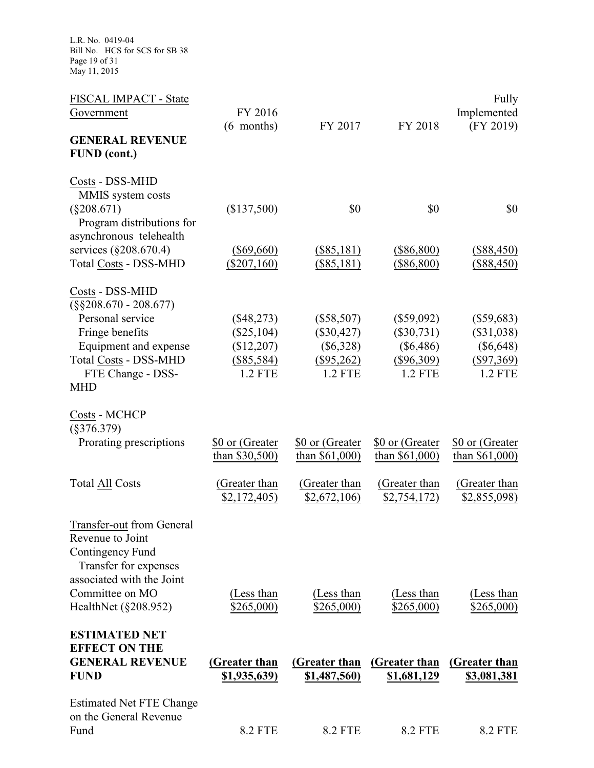L.R. No. 0419-04 Bill No. HCS for SCS for SB 38 Page 19 of 31 May 11, 2015

| FISCAL IMPACT - State<br>Government                                   | FY 2016                           |                                     |                                     | Fully<br>Implemented                |
|-----------------------------------------------------------------------|-----------------------------------|-------------------------------------|-------------------------------------|-------------------------------------|
|                                                                       | (6 months)                        | FY 2017                             | FY 2018                             | (FY 2019)                           |
| <b>GENERAL REVENUE</b><br><b>FUND</b> (cont.)                         |                                   |                                     |                                     |                                     |
| Costs - DSS-MHD<br>MMIS system costs                                  |                                   |                                     |                                     |                                     |
| $(\$208.671)$<br>Program distributions for<br>asynchronous telehealth | (\$137,500)                       | \$0                                 | \$0                                 | \$0                                 |
| services (§208.670.4)<br><b>Total Costs - DSS-MHD</b>                 | $($ \$69,660)<br>$(\$207,160)$    | $(\$85,181)$<br>$($ \$85,181)       | $(\$86,800)$<br>(\$86,800)          | $(\$88,450)$<br>(\$88,450)          |
|                                                                       |                                   |                                     |                                     |                                     |
| Costs - DSS-MHD<br>$(\$§208.670 - 208.677)$                           |                                   |                                     |                                     |                                     |
| Personal service<br>Fringe benefits                                   | $(\$48,273)$<br>$(\$25,104)$      | $(\$58,507)$<br>$(\$30,427)$        | $(\$59,092)$<br>$(\$30,731)$        | $(\$59,683)$<br>$(\$31,038)$        |
| Equipment and expense                                                 | (\$12,207)                        | $(\$6,328)$                         | $(\$6,486)$                         | $(\$6,648)$                         |
| <b>Total Costs - DSS-MHD</b><br>FTE Change - DSS-                     | $(\$85,584)$<br><b>1.2 FTE</b>    | $(\$95,262)$<br>1.2 FTE             | $(\$96,309)$<br><b>1.2 FTE</b>      | $(\$97,369)$<br>1.2 FTE             |
| <b>MHD</b>                                                            |                                   |                                     |                                     |                                     |
| Costs - MCHCP<br>$(\$376.379)$                                        |                                   |                                     |                                     |                                     |
| Prorating prescriptions                                               | \$0 or (Greater<br>than \$30,500) | \$0 or (Greater<br>than $$61,000$ ) | \$0 or (Greater<br>than $$61,000$ ) | \$0 or (Greater<br>than $$61,000$ ) |
| <b>Total All Costs</b>                                                | (Greater than<br>\$2,172,405      | (Greater than<br>\$2,672,106        | (Greater than<br>\$2,754,172)       | (Greater than<br>\$2,855,098        |
|                                                                       |                                   |                                     |                                     |                                     |
| Transfer-out from General<br>Revenue to Joint                         |                                   |                                     |                                     |                                     |
| Contingency Fund<br>Transfer for expenses                             |                                   |                                     |                                     |                                     |
| associated with the Joint<br>Committee on MO                          | (Less than                        | (Less than                          | (Less than                          | (Less than                          |
| HealthNet (§208.952)                                                  | \$265,000                         | \$265,000                           | \$265,000                           | \$265,000                           |
| <b>ESTIMATED NET</b><br><b>EFFECT ON THE</b>                          |                                   |                                     |                                     |                                     |
| <b>GENERAL REVENUE</b>                                                | <b>(Greater than</b>              | (Greater than                       | <b>(Greater than</b>                | (Greater than                       |
| <b>FUND</b>                                                           | <u>\$1,935,639)</u>               | <u>\$1,487,560)</u>                 | <u>\$1,681,129</u>                  | <u>\$3,081,381</u>                  |
| <b>Estimated Net FTE Change</b><br>on the General Revenue             |                                   |                                     |                                     |                                     |
| Fund                                                                  | <b>8.2 FTE</b>                    | <b>8.2 FTE</b>                      | <b>8.2 FTE</b>                      | <b>8.2 FTE</b>                      |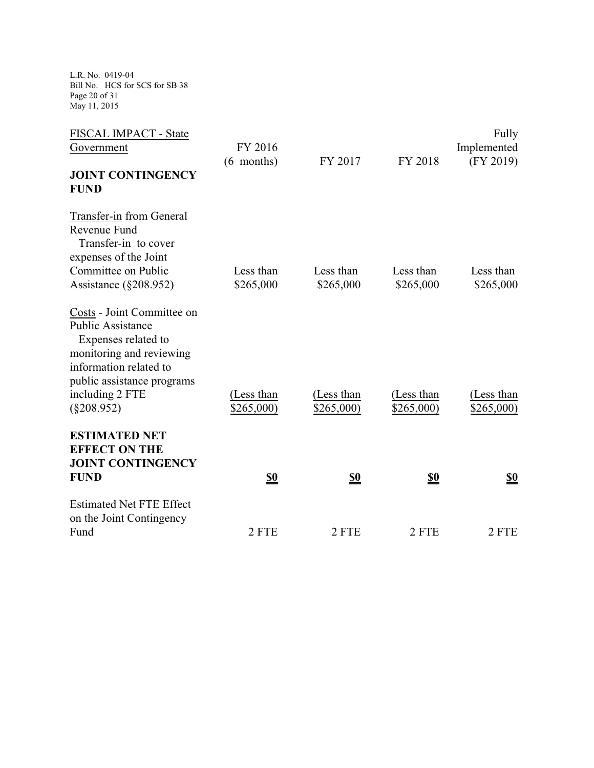L.R. No. 0419-04 Bill No. HCS for SCS for SB 38 Page 20 of 31 May 11, 2015

| FISCAL IMPACT - State           |            |            |            | Fully       |
|---------------------------------|------------|------------|------------|-------------|
| Government                      | FY 2016    |            |            | Implemented |
|                                 | (6 months) | FY 2017    | FY 2018    | (FY 2019)   |
| <b>JOINT CONTINGENCY</b>        |            |            |            |             |
| <b>FUND</b>                     |            |            |            |             |
| Transfer-in from General        |            |            |            |             |
| Revenue Fund                    |            |            |            |             |
| Transfer-in to cover            |            |            |            |             |
| expenses of the Joint           |            |            |            |             |
| Committee on Public             | Less than  | Less than  | Less than  | Less than   |
| Assistance $(\S 208.952)$       | \$265,000  | \$265,000  | \$265,000  | \$265,000   |
| Costs - Joint Committee on      |            |            |            |             |
| <b>Public Assistance</b>        |            |            |            |             |
| Expenses related to             |            |            |            |             |
| monitoring and reviewing        |            |            |            |             |
| information related to          |            |            |            |             |
| public assistance programs      |            |            |            |             |
| including 2 FTE                 | (Less than | (Less than | (Less than | (Less than  |
| $(\$208.952)$                   | \$265,000) | \$265,000  | \$265,000  | \$265,000   |
| <b>ESTIMATED NET</b>            |            |            |            |             |
| <b>EFFECT ON THE</b>            |            |            |            |             |
| <b>JOINT CONTINGENCY</b>        |            |            |            |             |
| <b>FUND</b>                     | <u>\$0</u> | <u>\$0</u> | <u>\$0</u> | <u>\$0</u>  |
| <b>Estimated Net FTE Effect</b> |            |            |            |             |
| on the Joint Contingency        |            |            |            |             |
| Fund                            | 2 FTE      | 2 FTE      | 2 FTE      | 2 FTE       |
|                                 |            |            |            |             |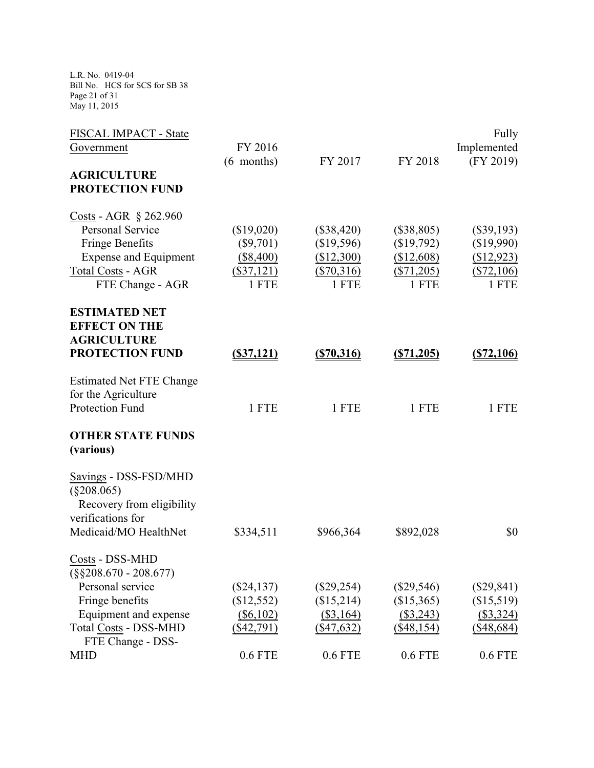L.R. No. 0419-04 Bill No. HCS for SCS for SB 38 Page 21 of 31 May 11, 2015

| FISCAL IMPACT - State           |               |               |              | Fully         |
|---------------------------------|---------------|---------------|--------------|---------------|
| Government                      | FY 2016       |               |              | Implemented   |
|                                 | $(6$ months)  | FY 2017       | FY 2018      | (FY 2019)     |
| <b>AGRICULTURE</b>              |               |               |              |               |
| <b>PROTECTION FUND</b>          |               |               |              |               |
| Costs - AGR $\S$ 262.960        |               |               |              |               |
| <b>Personal Service</b>         | (\$19,020)    | (\$38,420)    | $(\$38,805)$ | $(\$39,193)$  |
| <b>Fringe Benefits</b>          | $(\$9,701)$   | (\$19,596)    | (\$19,792)   | (\$19,990)    |
| <b>Expense and Equipment</b>    | $(\$8,400)$   | (\$12,300)    | (\$12,608)   | (\$12,923)    |
| <b>Total Costs - AGR</b>        | $($ \$37,121) | $(\$70,316)$  | (\$71,205)   | (\$72,106)    |
| FTE Change - AGR                | 1 FTE         | 1 FTE         | 1 FTE        | 1 FTE         |
| <b>ESTIMATED NET</b>            |               |               |              |               |
| <b>EFFECT ON THE</b>            |               |               |              |               |
| <b>AGRICULTURE</b>              |               |               |              |               |
| <b>PROTECTION FUND</b>          | $($ \$37,121) | $($ \$70,316) | (S71, 205)   | $($ \$72,106) |
| <b>Estimated Net FTE Change</b> |               |               |              |               |
| for the Agriculture             |               |               |              |               |
| Protection Fund                 | 1 FTE         | 1 FTE         | 1 FTE        | 1 FTE         |
| <b>OTHER STATE FUNDS</b>        |               |               |              |               |
| (various)                       |               |               |              |               |
| Savings - DSS-FSD/MHD           |               |               |              |               |
| $(\$208.065)$                   |               |               |              |               |
| Recovery from eligibility       |               |               |              |               |
| verifications for               |               |               |              |               |
| Medicaid/MO HealthNet           | \$334,511     | \$966,364     | \$892,028    | \$0           |
| Costs - DSS-MHD                 |               |               |              |               |
| $(\$§208.670 - 208.677)$        |               |               |              |               |
| Personal service                | $(\$24,137)$  | $(\$29,254)$  | $(\$29,546)$ | $(\$29,841)$  |
| Fringe benefits                 | (\$12,552)    | (\$15,214)    | (\$15,365)   | (\$15,519)    |
| Equipment and expense           | $($ \$6,102)  | $($ \$3,164)  | $(\$3,243)$  | (\$3,324)     |
| <b>Total Costs - DSS-MHD</b>    | $(\$42,791)$  | $(\$47,632)$  | $(\$48,154)$ | $(\$48,684)$  |
| FTE Change - DSS-               |               |               |              |               |
| <b>MHD</b>                      | $0.6$ FTE     | $0.6$ FTE     | $0.6$ FTE    | 0.6 FTE       |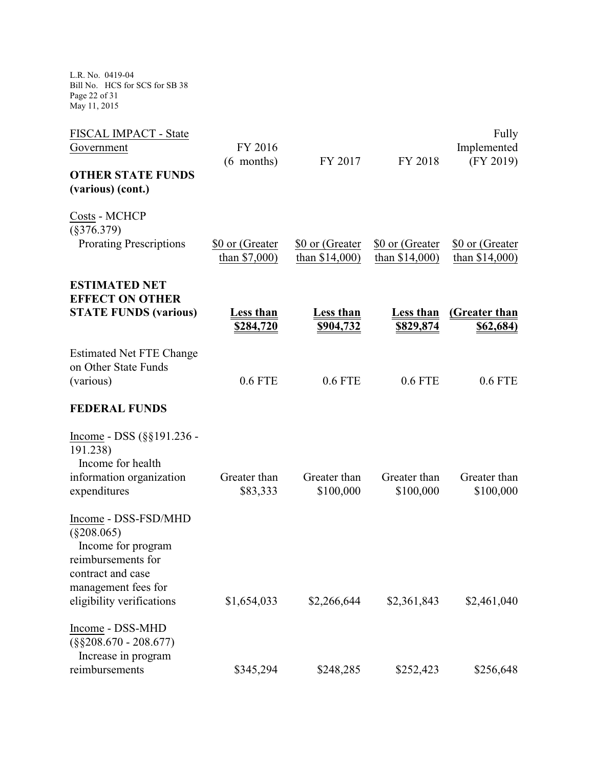L.R. No. 0419-04 Bill No. HCS for SCS for SB 38 Page 22 of 31 May 11, 2015

| FISCAL IMPACT - State                                                                                                                                      |                                    |                                     |                                      | Fully                               |
|------------------------------------------------------------------------------------------------------------------------------------------------------------|------------------------------------|-------------------------------------|--------------------------------------|-------------------------------------|
| Government                                                                                                                                                 | FY 2016<br>(6 months)              | FY 2017                             | FY 2018                              | Implemented<br>(FY 2019)            |
| <b>OTHER STATE FUNDS</b>                                                                                                                                   |                                    |                                     |                                      |                                     |
| (various) (cont.)                                                                                                                                          |                                    |                                     |                                      |                                     |
| Costs - MCHCP<br>$(\$376.379)$                                                                                                                             |                                    |                                     |                                      |                                     |
| <b>Prorating Prescriptions</b>                                                                                                                             | \$0 or (Greater<br>than $$7,000$ ) | \$0 or (Greater<br>than $$14,000$ ) | \$0 or (Greater<br>than $$14,000$ )  | \$0 or (Greater<br>than $$14,000$ ) |
| <b>ESTIMATED NET</b><br><b>EFFECT ON OTHER</b>                                                                                                             |                                    |                                     |                                      |                                     |
| <b>STATE FUNDS (various)</b>                                                                                                                               | <u>Less than</u><br>\$284,720      | <b>Less than</b><br>\$904,732       | <b>Less than</b><br><u>\$829,874</u> | (Greater than<br><u>\$62,684)</u>   |
| <b>Estimated Net FTE Change</b><br>on Other State Funds<br>(various)                                                                                       | <b>0.6 FTE</b>                     | <b>0.6 FTE</b>                      | $0.6$ FTE                            | $0.6$ FTE                           |
| <b>FEDERAL FUNDS</b>                                                                                                                                       |                                    |                                     |                                      |                                     |
| Income - DSS $(\S\S191.236 -$<br>191.238)<br>Income for health<br>information organization<br>expenditures                                                 | Greater than<br>\$83,333           | Greater than<br>\$100,000           | Greater than<br>\$100,000            | Greater than<br>\$100,000           |
| Income - DSS-FSD/MHD<br>$(\$208.065)$<br>Income for program<br>reimbursements for<br>contract and case<br>management fees for<br>eligibility verifications | \$1,654,033                        | \$2,266,644                         | \$2,361,843                          | \$2,461,040                         |
|                                                                                                                                                            |                                    |                                     |                                      |                                     |
| Income - DSS-MHD<br>$(\$§208.670 - 208.677)$                                                                                                               |                                    |                                     |                                      |                                     |
| Increase in program<br>reimbursements                                                                                                                      | \$345,294                          | \$248,285                           | \$252,423                            | \$256,648                           |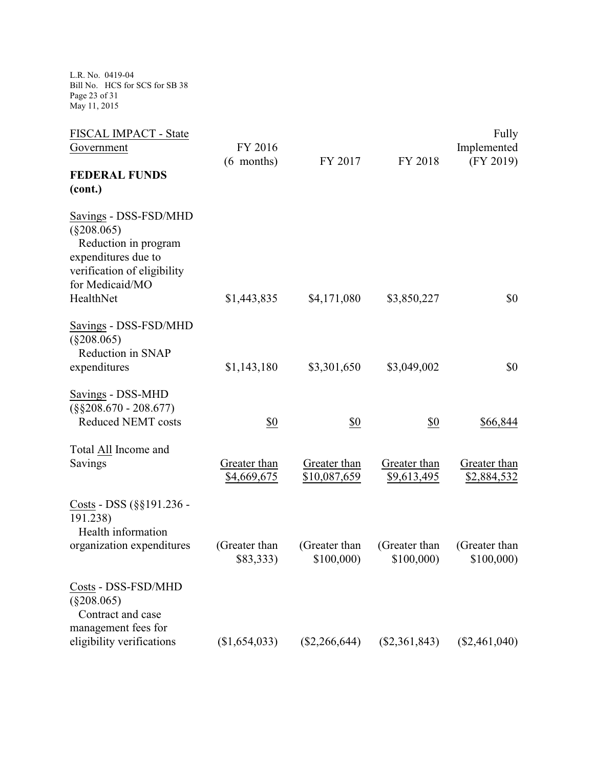L.R. No. 0419-04 Bill No. HCS for SCS for SB 38 Page 23 of 31 May 11, 2015

| FISCAL IMPACT - State       |               |                 |                 | Fully           |
|-----------------------------|---------------|-----------------|-----------------|-----------------|
| Government                  | FY 2016       |                 |                 | Implemented     |
|                             | (6 months)    | FY 2017         | FY 2018         | (FY 2019)       |
| <b>FEDERAL FUNDS</b>        |               |                 |                 |                 |
| (cont.)                     |               |                 |                 |                 |
| Savings - DSS-FSD/MHD       |               |                 |                 |                 |
| $(\$208.065)$               |               |                 |                 |                 |
| Reduction in program        |               |                 |                 |                 |
| expenditures due to         |               |                 |                 |                 |
| verification of eligibility |               |                 |                 |                 |
| for Medicaid/MO             |               |                 |                 |                 |
| HealthNet                   | \$1,443,835   | \$4,171,080     | \$3,850,227     | \$0             |
| Savings - DSS-FSD/MHD       |               |                 |                 |                 |
| $(\$208.065)$               |               |                 |                 |                 |
| Reduction in SNAP           |               |                 |                 |                 |
| expenditures                | \$1,143,180   | \$3,301,650     | \$3,049,002     | \$0             |
| Savings - DSS-MHD           |               |                 |                 |                 |
| $(\$§208.670 - 208.677)$    |               |                 |                 |                 |
| <b>Reduced NEMT costs</b>   | \$0           | \$0             | <u>\$0</u>      | \$66,844        |
| Total All Income and        |               |                 |                 |                 |
| Savings                     | Greater than  | Greater than    | Greater than    | Greater than    |
|                             | \$4,669,675   | \$10,087,659    | \$9,613,495     | \$2,884,532     |
| Costs - DSS (§§191.236 -    |               |                 |                 |                 |
| 191.238)                    |               |                 |                 |                 |
| Health information          |               |                 |                 |                 |
| organization expenditures   | (Greater than | (Greater than   | (Greater than   | (Greater than   |
|                             | \$83,333)     | \$100,000       | \$100,000)      | \$100,000       |
| Costs - DSS-FSD/MHD         |               |                 |                 |                 |
| $(\$208.065)$               |               |                 |                 |                 |
| Contract and case           |               |                 |                 |                 |
| management fees for         |               |                 |                 |                 |
| eligibility verifications   | (\$1,654,033) | $(\$2,266,644)$ | $(\$2,361,843)$ | $(\$2,461,040)$ |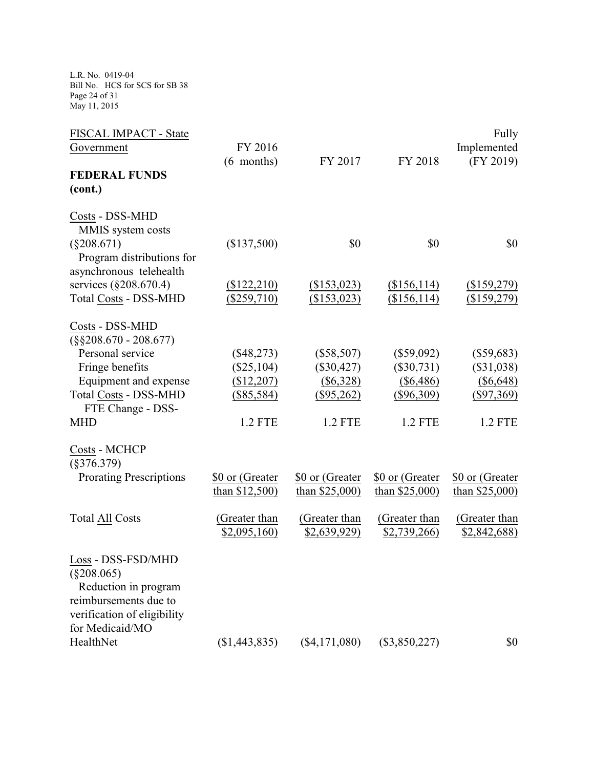L.R. No. 0419-04 Bill No. HCS for SCS for SB 38 Page 24 of 31 May 11, 2015

| FISCAL IMPACT - State                 |                  |                  |                  | Fully            |
|---------------------------------------|------------------|------------------|------------------|------------------|
| Government                            | FY 2016          |                  |                  | Implemented      |
|                                       | $(6$ months)     | FY 2017          | FY 2018          | (FY 2019)        |
| <b>FEDERAL FUNDS</b>                  |                  |                  |                  |                  |
| (cont.)                               |                  |                  |                  |                  |
| Costs - DSS-MHD                       |                  |                  |                  |                  |
| MMIS system costs                     |                  |                  |                  |                  |
| $(\$208.671)$                         | (\$137,500)      | \$0              | \$0              | \$0              |
| Program distributions for             |                  |                  |                  |                  |
| asynchronous telehealth               |                  |                  |                  |                  |
| services (§208.670.4)                 | (\$122,210)      | (\$153,023)      | (\$156,114)      | (\$159,279)      |
| <b>Total Costs - DSS-MHD</b>          | $(\$259,710)$    | (\$153,023)      | (\$156,114)      | $($ \$159,279)   |
| Costs - DSS-MHD                       |                  |                  |                  |                  |
| $(\$§208.670 - 208.677)$              |                  |                  |                  |                  |
| Personal service                      | $(\$48,273)$     | $(\$58,507)$     | $(\$59,092)$     | $(\$59,683)$     |
| Fringe benefits                       | $(\$25,104)$     | $(\$30,427)$     | $(\$30,731)$     | $(\$31,038)$     |
| Equipment and expense                 | (\$12,207)       | $(\$6,328)$      | $(\$6,486)$      | $($ \$6,648)     |
| <b>Total Costs - DSS-MHD</b>          | $(\$85,584)$     | $(\$95,262)$     | $(\$96,309)$     | $(\$97,369)$     |
| FTE Change - DSS-                     |                  |                  |                  |                  |
| <b>MHD</b>                            | 1.2 FTE          | 1.2 FTE          | <b>1.2 FTE</b>   | 1.2 FTE          |
| Costs - MCHCP                         |                  |                  |                  |                  |
| $(\$376.379)$                         |                  |                  |                  |                  |
| <b>Prorating Prescriptions</b>        | \$0 or (Greater  | \$0 or (Greater  | \$0 or (Greater  | \$0 or (Greater  |
|                                       | than $$12,500$ ) | than $$25,000$ ) | than $$25,000$ ) | than $$25,000$ ) |
| <b>Total All Costs</b>                | (Greater than    | (Greater than    | (Greater than    | (Greater than    |
|                                       | \$2,095,160      | \$2,639,929      | \$2,739,266      | \$2,842,688      |
| Loss - DSS-FSD/MHD                    |                  |                  |                  |                  |
| $(\$208.065)$<br>Reduction in program |                  |                  |                  |                  |
| reimbursements due to                 |                  |                  |                  |                  |
| verification of eligibility           |                  |                  |                  |                  |
| for Medicaid/MO                       |                  |                  |                  |                  |
| HealthNet                             | (\$1,443,835)    | $(\$4,171,080)$  | $(\$3,850,227)$  | \$0              |
|                                       |                  |                  |                  |                  |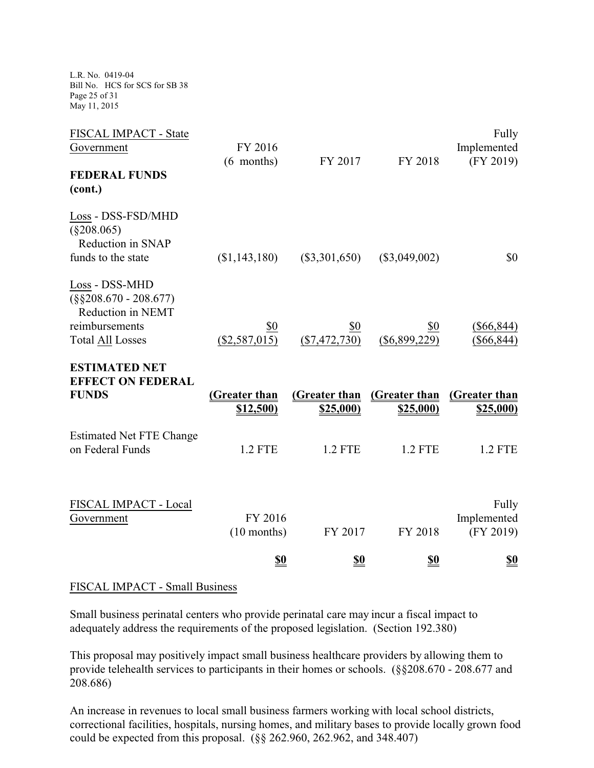L.R. No. 0419-04 Bill No. HCS for SCS for SB 38 Page 25 of 31 May 11, 2015

| FISCAL IMPACT - State                                                                                        |                            |                                   |                                  | Fully                             |
|--------------------------------------------------------------------------------------------------------------|----------------------------|-----------------------------------|----------------------------------|-----------------------------------|
| Government                                                                                                   | FY 2016                    |                                   |                                  | Implemented                       |
| <b>FEDERAL FUNDS</b>                                                                                         | $(6$ months)               | FY 2017                           | FY 2018                          | (FY 2019)                         |
| (cont.)                                                                                                      |                            |                                   |                                  |                                   |
| Loss - DSS-FSD/MHD<br>$(\$208.065)$<br>Reduction in SNAP<br>funds to the state                               | (\$1,143,180)              | $(\$3,301,650)$                   | $(\$3,049,002)$                  | \$0                               |
| Loss - DSS-MHD<br>$(\$§208.670 - 208.677)$<br>Reduction in NEMT<br>reimbursements<br><b>Total All Losses</b> | \$0<br>$(\$2,587,015)$     | \$0<br>$(\$7,472,730)$            | \$0<br>$(\$6,899,229)$           | $(\$66,844)$<br>$(\$66,844)$      |
| <b>ESTIMATED NET</b><br><b>EFFECT ON FEDERAL</b><br><b>FUNDS</b>                                             | (Greater than<br>\$12,500) | (Greater than<br><u>\$25,000)</u> | (Greater than<br><u>\$25,000</u> | (Greater than<br><u>\$25,000)</u> |
| <b>Estimated Net FTE Change</b><br>on Federal Funds                                                          | <b>1.2 FTE</b>             | 1.2 FTE                           | 1.2 FTE                          | <b>1.2 FTE</b>                    |
| FISCAL IMPACT - Local<br>Government                                                                          | FY 2016<br>$(10$ months)   | FY 2017                           | FY 2018                          | Fully<br>Implemented<br>(FY 2019) |
|                                                                                                              | <u>\$0</u>                 | <u>\$0</u>                        | <u>\$0</u>                       | <u>\$0</u>                        |

## FISCAL IMPACT - Small Business

Small business perinatal centers who provide perinatal care may incur a fiscal impact to adequately address the requirements of the proposed legislation. (Section 192.380)

This proposal may positively impact small business healthcare providers by allowing them to provide telehealth services to participants in their homes or schools. (§§208.670 - 208.677 and 208.686)

An increase in revenues to local small business farmers working with local school districts, correctional facilities, hospitals, nursing homes, and military bases to provide locally grown food could be expected from this proposal. (§§ 262.960, 262.962, and 348.407)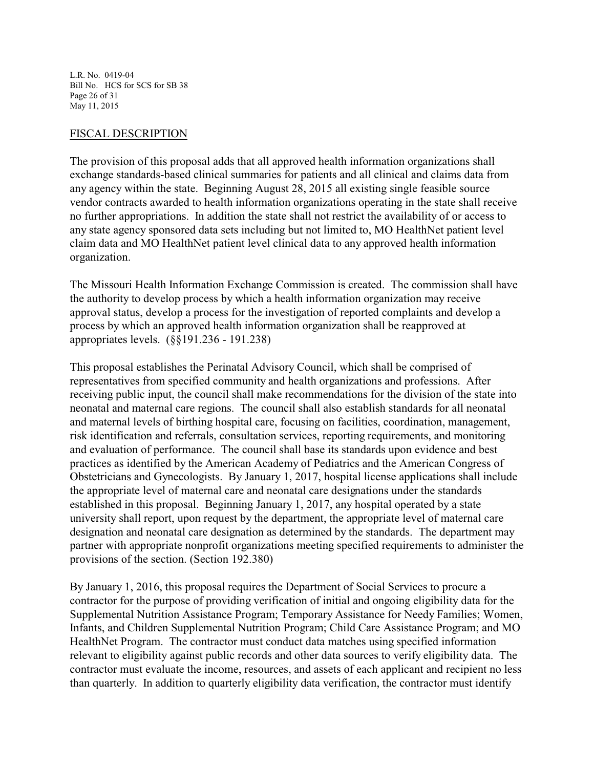L.R. No. 0419-04 Bill No. HCS for SCS for SB 38 Page 26 of 31 May 11, 2015

### FISCAL DESCRIPTION

The provision of this proposal adds that all approved health information organizations shall exchange standards-based clinical summaries for patients and all clinical and claims data from any agency within the state. Beginning August 28, 2015 all existing single feasible source vendor contracts awarded to health information organizations operating in the state shall receive no further appropriations. In addition the state shall not restrict the availability of or access to any state agency sponsored data sets including but not limited to, MO HealthNet patient level claim data and MO HealthNet patient level clinical data to any approved health information organization.

The Missouri Health Information Exchange Commission is created. The commission shall have the authority to develop process by which a health information organization may receive approval status, develop a process for the investigation of reported complaints and develop a process by which an approved health information organization shall be reapproved at appropriates levels. (§§191.236 - 191.238)

This proposal establishes the Perinatal Advisory Council, which shall be comprised of representatives from specified community and health organizations and professions. After receiving public input, the council shall make recommendations for the division of the state into neonatal and maternal care regions. The council shall also establish standards for all neonatal and maternal levels of birthing hospital care, focusing on facilities, coordination, management, risk identification and referrals, consultation services, reporting requirements, and monitoring and evaluation of performance. The council shall base its standards upon evidence and best practices as identified by the American Academy of Pediatrics and the American Congress of Obstetricians and Gynecologists. By January 1, 2017, hospital license applications shall include the appropriate level of maternal care and neonatal care designations under the standards established in this proposal. Beginning January 1, 2017, any hospital operated by a state university shall report, upon request by the department, the appropriate level of maternal care designation and neonatal care designation as determined by the standards. The department may partner with appropriate nonprofit organizations meeting specified requirements to administer the provisions of the section. (Section 192.380)

By January 1, 2016, this proposal requires the Department of Social Services to procure a contractor for the purpose of providing verification of initial and ongoing eligibility data for the Supplemental Nutrition Assistance Program; Temporary Assistance for Needy Families; Women, Infants, and Children Supplemental Nutrition Program; Child Care Assistance Program; and MO HealthNet Program. The contractor must conduct data matches using specified information relevant to eligibility against public records and other data sources to verify eligibility data. The contractor must evaluate the income, resources, and assets of each applicant and recipient no less than quarterly. In addition to quarterly eligibility data verification, the contractor must identify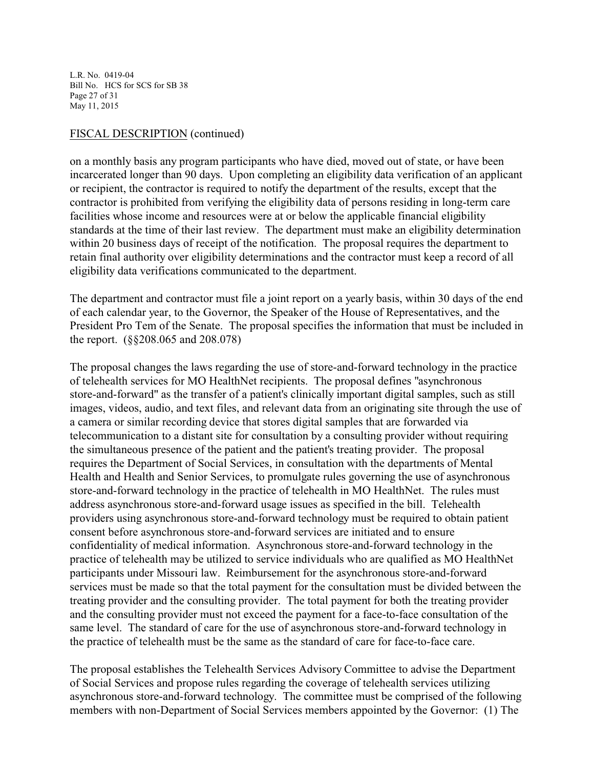L.R. No. 0419-04 Bill No. HCS for SCS for SB 38 Page 27 of 31 May 11, 2015

### FISCAL DESCRIPTION (continued)

on a monthly basis any program participants who have died, moved out of state, or have been incarcerated longer than 90 days. Upon completing an eligibility data verification of an applicant or recipient, the contractor is required to notify the department of the results, except that the contractor is prohibited from verifying the eligibility data of persons residing in long-term care facilities whose income and resources were at or below the applicable financial eligibility standards at the time of their last review. The department must make an eligibility determination within 20 business days of receipt of the notification. The proposal requires the department to retain final authority over eligibility determinations and the contractor must keep a record of all eligibility data verifications communicated to the department.

The department and contractor must file a joint report on a yearly basis, within 30 days of the end of each calendar year, to the Governor, the Speaker of the House of Representatives, and the President Pro Tem of the Senate. The proposal specifies the information that must be included in the report. (§§208.065 and 208.078)

The proposal changes the laws regarding the use of store-and-forward technology in the practice of telehealth services for MO HealthNet recipients. The proposal defines "asynchronous store-and-forward" as the transfer of a patient's clinically important digital samples, such as still images, videos, audio, and text files, and relevant data from an originating site through the use of a camera or similar recording device that stores digital samples that are forwarded via telecommunication to a distant site for consultation by a consulting provider without requiring the simultaneous presence of the patient and the patient's treating provider. The proposal requires the Department of Social Services, in consultation with the departments of Mental Health and Health and Senior Services, to promulgate rules governing the use of asynchronous store-and-forward technology in the practice of telehealth in MO HealthNet. The rules must address asynchronous store-and-forward usage issues as specified in the bill. Telehealth providers using asynchronous store-and-forward technology must be required to obtain patient consent before asynchronous store-and-forward services are initiated and to ensure confidentiality of medical information. Asynchronous store-and-forward technology in the practice of telehealth may be utilized to service individuals who are qualified as MO HealthNet participants under Missouri law. Reimbursement for the asynchronous store-and-forward services must be made so that the total payment for the consultation must be divided between the treating provider and the consulting provider. The total payment for both the treating provider and the consulting provider must not exceed the payment for a face-to-face consultation of the same level. The standard of care for the use of asynchronous store-and-forward technology in the practice of telehealth must be the same as the standard of care for face-to-face care.

The proposal establishes the Telehealth Services Advisory Committee to advise the Department of Social Services and propose rules regarding the coverage of telehealth services utilizing asynchronous store-and-forward technology. The committee must be comprised of the following members with non-Department of Social Services members appointed by the Governor: (1) The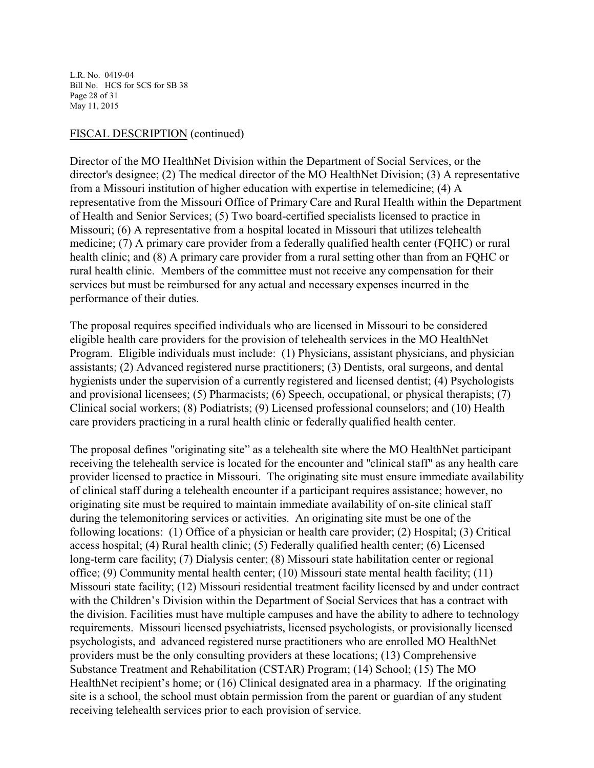L.R. No. 0419-04 Bill No. HCS for SCS for SB 38 Page 28 of 31 May 11, 2015

#### FISCAL DESCRIPTION (continued)

Director of the MO HealthNet Division within the Department of Social Services, or the director's designee; (2) The medical director of the MO HealthNet Division; (3) A representative from a Missouri institution of higher education with expertise in telemedicine; (4) A representative from the Missouri Office of Primary Care and Rural Health within the Department of Health and Senior Services; (5) Two board-certified specialists licensed to practice in Missouri; (6) A representative from a hospital located in Missouri that utilizes telehealth medicine; (7) A primary care provider from a federally qualified health center (FQHC) or rural health clinic; and (8) A primary care provider from a rural setting other than from an FQHC or rural health clinic. Members of the committee must not receive any compensation for their services but must be reimbursed for any actual and necessary expenses incurred in the performance of their duties.

The proposal requires specified individuals who are licensed in Missouri to be considered eligible health care providers for the provision of telehealth services in the MO HealthNet Program. Eligible individuals must include: (1) Physicians, assistant physicians, and physician assistants; (2) Advanced registered nurse practitioners; (3) Dentists, oral surgeons, and dental hygienists under the supervision of a currently registered and licensed dentist; (4) Psychologists and provisional licensees; (5) Pharmacists; (6) Speech, occupational, or physical therapists; (7) Clinical social workers; (8) Podiatrists; (9) Licensed professional counselors; and (10) Health care providers practicing in a rural health clinic or federally qualified health center.

The proposal defines "originating site" as a telehealth site where the MO HealthNet participant receiving the telehealth service is located for the encounter and "clinical staff" as any health care provider licensed to practice in Missouri. The originating site must ensure immediate availability of clinical staff during a telehealth encounter if a participant requires assistance; however, no originating site must be required to maintain immediate availability of on-site clinical staff during the telemonitoring services or activities. An originating site must be one of the following locations: (1) Office of a physician or health care provider; (2) Hospital; (3) Critical access hospital; (4) Rural health clinic; (5) Federally qualified health center; (6) Licensed long-term care facility; (7) Dialysis center; (8) Missouri state habilitation center or regional office; (9) Community mental health center; (10) Missouri state mental health facility; (11) Missouri state facility; (12) Missouri residential treatment facility licensed by and under contract with the Children's Division within the Department of Social Services that has a contract with the division. Facilities must have multiple campuses and have the ability to adhere to technology requirements. Missouri licensed psychiatrists, licensed psychologists, or provisionally licensed psychologists, and advanced registered nurse practitioners who are enrolled MO HealthNet providers must be the only consulting providers at these locations; (13) Comprehensive Substance Treatment and Rehabilitation (CSTAR) Program; (14) School; (15) The MO HealthNet recipient's home; or (16) Clinical designated area in a pharmacy. If the originating site is a school, the school must obtain permission from the parent or guardian of any student receiving telehealth services prior to each provision of service.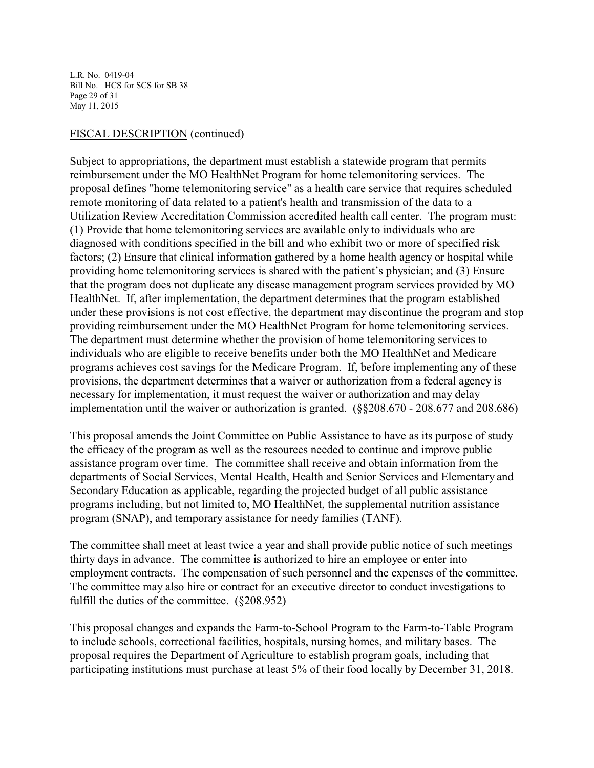L.R. No. 0419-04 Bill No. HCS for SCS for SB 38 Page 29 of 31 May 11, 2015

## FISCAL DESCRIPTION (continued)

Subject to appropriations, the department must establish a statewide program that permits reimbursement under the MO HealthNet Program for home telemonitoring services. The proposal defines "home telemonitoring service" as a health care service that requires scheduled remote monitoring of data related to a patient's health and transmission of the data to a Utilization Review Accreditation Commission accredited health call center. The program must: (1) Provide that home telemonitoring services are available only to individuals who are diagnosed with conditions specified in the bill and who exhibit two or more of specified risk factors; (2) Ensure that clinical information gathered by a home health agency or hospital while providing home telemonitoring services is shared with the patient's physician; and (3) Ensure that the program does not duplicate any disease management program services provided by MO HealthNet. If, after implementation, the department determines that the program established under these provisions is not cost effective, the department may discontinue the program and stop providing reimbursement under the MO HealthNet Program for home telemonitoring services. The department must determine whether the provision of home telemonitoring services to individuals who are eligible to receive benefits under both the MO HealthNet and Medicare programs achieves cost savings for the Medicare Program. If, before implementing any of these provisions, the department determines that a waiver or authorization from a federal agency is necessary for implementation, it must request the waiver or authorization and may delay implementation until the waiver or authorization is granted. (§§208.670 - 208.677 and 208.686)

This proposal amends the Joint Committee on Public Assistance to have as its purpose of study the efficacy of the program as well as the resources needed to continue and improve public assistance program over time. The committee shall receive and obtain information from the departments of Social Services, Mental Health, Health and Senior Services and Elementary and Secondary Education as applicable, regarding the projected budget of all public assistance programs including, but not limited to, MO HealthNet, the supplemental nutrition assistance program (SNAP), and temporary assistance for needy families (TANF).

The committee shall meet at least twice a year and shall provide public notice of such meetings thirty days in advance. The committee is authorized to hire an employee or enter into employment contracts. The compensation of such personnel and the expenses of the committee. The committee may also hire or contract for an executive director to conduct investigations to fulfill the duties of the committee. (§208.952)

This proposal changes and expands the Farm-to-School Program to the Farm-to-Table Program to include schools, correctional facilities, hospitals, nursing homes, and military bases. The proposal requires the Department of Agriculture to establish program goals, including that participating institutions must purchase at least 5% of their food locally by December 31, 2018.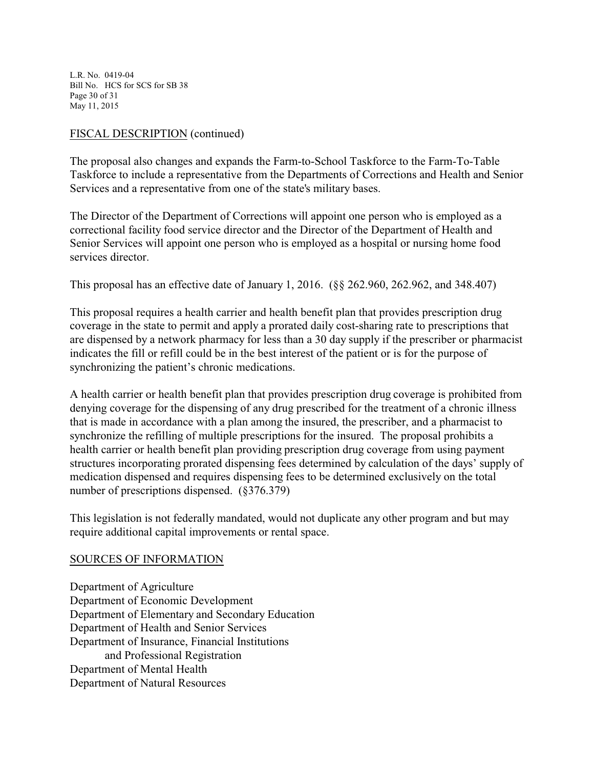L.R. No. 0419-04 Bill No. HCS for SCS for SB 38 Page 30 of 31 May 11, 2015

## FISCAL DESCRIPTION (continued)

The proposal also changes and expands the Farm-to-School Taskforce to the Farm-To-Table Taskforce to include a representative from the Departments of Corrections and Health and Senior Services and a representative from one of the state's military bases.

The Director of the Department of Corrections will appoint one person who is employed as a correctional facility food service director and the Director of the Department of Health and Senior Services will appoint one person who is employed as a hospital or nursing home food services director.

This proposal has an effective date of January 1, 2016. (§§ 262.960, 262.962, and 348.407)

This proposal requires a health carrier and health benefit plan that provides prescription drug coverage in the state to permit and apply a prorated daily cost-sharing rate to prescriptions that are dispensed by a network pharmacy for less than a 30 day supply if the prescriber or pharmacist indicates the fill or refill could be in the best interest of the patient or is for the purpose of synchronizing the patient's chronic medications.

A health carrier or health benefit plan that provides prescription drug coverage is prohibited from denying coverage for the dispensing of any drug prescribed for the treatment of a chronic illness that is made in accordance with a plan among the insured, the prescriber, and a pharmacist to synchronize the refilling of multiple prescriptions for the insured. The proposal prohibits a health carrier or health benefit plan providing prescription drug coverage from using payment structures incorporating prorated dispensing fees determined by calculation of the days' supply of medication dispensed and requires dispensing fees to be determined exclusively on the total number of prescriptions dispensed. (§376.379)

This legislation is not federally mandated, would not duplicate any other program and but may require additional capital improvements or rental space.

#### SOURCES OF INFORMATION

Department of Agriculture Department of Economic Development Department of Elementary and Secondary Education Department of Health and Senior Services Department of Insurance, Financial Institutions and Professional Registration Department of Mental Health Department of Natural Resources